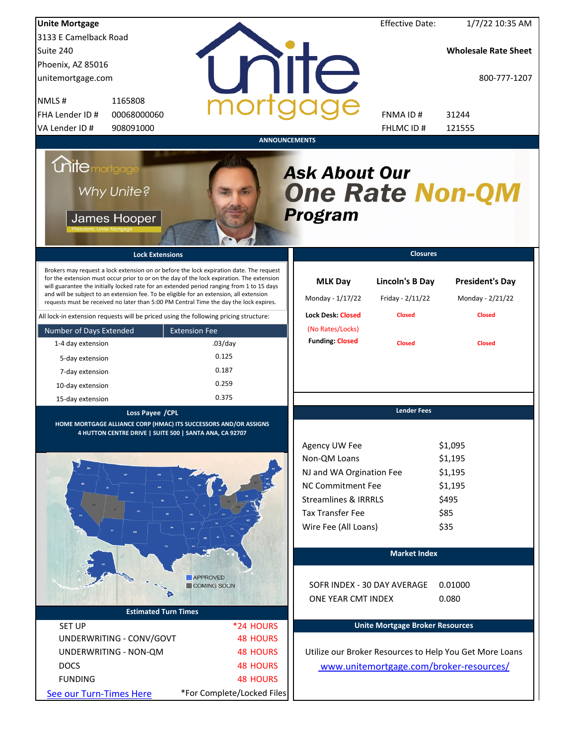| <b>Unite Mortgage</b>                                                                                                                                                                                                                                                                                                                                                                                                                                                                                                                                          |                            |                                                                  | <b>Effective Date:</b>                               | 1/7/22 10:35 AM                                             |
|----------------------------------------------------------------------------------------------------------------------------------------------------------------------------------------------------------------------------------------------------------------------------------------------------------------------------------------------------------------------------------------------------------------------------------------------------------------------------------------------------------------------------------------------------------------|----------------------------|------------------------------------------------------------------|------------------------------------------------------|-------------------------------------------------------------|
| 3133 E Camelback Road                                                                                                                                                                                                                                                                                                                                                                                                                                                                                                                                          |                            |                                                                  |                                                      |                                                             |
| Suite 240                                                                                                                                                                                                                                                                                                                                                                                                                                                                                                                                                      |                            |                                                                  |                                                      | <b>Wholesale Rate Sheet</b>                                 |
| Phoenix, AZ 85016                                                                                                                                                                                                                                                                                                                                                                                                                                                                                                                                              |                            |                                                                  |                                                      |                                                             |
| unitemortgage.com                                                                                                                                                                                                                                                                                                                                                                                                                                                                                                                                              |                            | <b>THE</b>                                                       |                                                      | 800-777-1207                                                |
| NMLS#<br>1165808                                                                                                                                                                                                                                                                                                                                                                                                                                                                                                                                               |                            |                                                                  |                                                      |                                                             |
| FHA Lender ID #<br>00068000060                                                                                                                                                                                                                                                                                                                                                                                                                                                                                                                                 |                            |                                                                  | FNMA ID#                                             | 31244                                                       |
| VA Lender ID #<br>908091000                                                                                                                                                                                                                                                                                                                                                                                                                                                                                                                                    |                            |                                                                  | FHLMC ID#                                            | 121555                                                      |
|                                                                                                                                                                                                                                                                                                                                                                                                                                                                                                                                                                |                            | <b>ANNOUNCEMENTS</b>                                             |                                                      |                                                             |
| <b>Chite</b> mortgage<br>Why Unite?<br>James Hooper                                                                                                                                                                                                                                                                                                                                                                                                                                                                                                            |                            | <b>Ask About Our</b><br><b>One Rate Non-QM</b><br><b>Program</b> |                                                      |                                                             |
| <b>Lock Extensions</b>                                                                                                                                                                                                                                                                                                                                                                                                                                                                                                                                         |                            |                                                                  | <b>Closures</b>                                      |                                                             |
| Brokers may request a lock extension on or before the lock expiration date. The request<br>for the extension must occur prior to or on the day of the lock expiration. The extension<br>will guarantee the initially locked rate for an extended period ranging from 1 to 15 days<br>and will be subject to an extension fee. To be eligible for an extension, all extension<br>requests must be received no later than 5:00 PM Central Time the day the lock expires.<br>All lock-in extension requests will be priced using the following pricing structure: |                            | <b>MLK Day</b><br>Monday - 1/17/22<br><b>Lock Desk: Closed</b>   | Lincoln's B Day<br>Friday - 2/11/22<br><b>Closed</b> | <b>President's Day</b><br>Monday - 2/21/22<br><b>Closed</b> |
| Number of Days Extended                                                                                                                                                                                                                                                                                                                                                                                                                                                                                                                                        | <b>Extension Fee</b>       | (No Rates/Locks)                                                 |                                                      |                                                             |
| 1-4 day extension                                                                                                                                                                                                                                                                                                                                                                                                                                                                                                                                              | $.03$ /day                 | <b>Funding: Closed</b>                                           | <b>Closed</b>                                        | <b>Closed</b>                                               |
|                                                                                                                                                                                                                                                                                                                                                                                                                                                                                                                                                                | 0.125                      |                                                                  |                                                      |                                                             |
| 5-day extension                                                                                                                                                                                                                                                                                                                                                                                                                                                                                                                                                | 0.187                      |                                                                  |                                                      |                                                             |
| 7-day extension                                                                                                                                                                                                                                                                                                                                                                                                                                                                                                                                                | 0.259                      |                                                                  |                                                      |                                                             |
| 10-day extension                                                                                                                                                                                                                                                                                                                                                                                                                                                                                                                                               | 0.375                      |                                                                  |                                                      |                                                             |
| 15-day extension                                                                                                                                                                                                                                                                                                                                                                                                                                                                                                                                               |                            |                                                                  |                                                      |                                                             |
| Loss Payee / CPL<br>HOME MORTGAGE ALLIANCE CORP (HMAC) ITS SUCCESSORS AND/OR ASSIGNS<br>4 HUTTON CENTRE DRIVE   SUITE 500   SANTA ANA, CA 92707                                                                                                                                                                                                                                                                                                                                                                                                                |                            |                                                                  | <b>Lender Fees</b>                                   |                                                             |
|                                                                                                                                                                                                                                                                                                                                                                                                                                                                                                                                                                |                            | Agency UW Fee                                                    |                                                      | \$1,095                                                     |
|                                                                                                                                                                                                                                                                                                                                                                                                                                                                                                                                                                |                            | Non-QM Loans                                                     |                                                      | \$1,195                                                     |
|                                                                                                                                                                                                                                                                                                                                                                                                                                                                                                                                                                |                            | NJ and WA Orgination Fee                                         |                                                      | \$1,195                                                     |
|                                                                                                                                                                                                                                                                                                                                                                                                                                                                                                                                                                |                            | <b>NC Commitment Fee</b>                                         |                                                      | \$1,195                                                     |
|                                                                                                                                                                                                                                                                                                                                                                                                                                                                                                                                                                |                            | <b>Streamlines &amp; IRRRLS</b>                                  |                                                      | \$495                                                       |
|                                                                                                                                                                                                                                                                                                                                                                                                                                                                                                                                                                |                            | <b>Tax Transfer Fee</b>                                          |                                                      | \$85                                                        |
|                                                                                                                                                                                                                                                                                                                                                                                                                                                                                                                                                                |                            | Wire Fee (All Loans)                                             |                                                      | \$35                                                        |
|                                                                                                                                                                                                                                                                                                                                                                                                                                                                                                                                                                |                            |                                                                  | <b>Market Index</b>                                  |                                                             |
|                                                                                                                                                                                                                                                                                                                                                                                                                                                                                                                                                                |                            |                                                                  |                                                      |                                                             |
|                                                                                                                                                                                                                                                                                                                                                                                                                                                                                                                                                                | <b>APPROVED</b>            |                                                                  |                                                      |                                                             |
|                                                                                                                                                                                                                                                                                                                                                                                                                                                                                                                                                                | COMING SOON                |                                                                  | SOFR INDEX - 30 DAY AVERAGE                          | 0.01000                                                     |
|                                                                                                                                                                                                                                                                                                                                                                                                                                                                                                                                                                |                            | ONE YEAR CMT INDEX                                               |                                                      | 0.080                                                       |
| <b>Estimated Turn Times</b>                                                                                                                                                                                                                                                                                                                                                                                                                                                                                                                                    |                            |                                                                  |                                                      |                                                             |
| <b>SET UP</b>                                                                                                                                                                                                                                                                                                                                                                                                                                                                                                                                                  | *24 HOURS                  |                                                                  | <b>Unite Mortgage Broker Resources</b>               |                                                             |
| UNDERWRITING - CONV/GOVT                                                                                                                                                                                                                                                                                                                                                                                                                                                                                                                                       | <b>48 HOURS</b>            |                                                                  |                                                      |                                                             |
| UNDERWRITING - NON-QM                                                                                                                                                                                                                                                                                                                                                                                                                                                                                                                                          | <b>48 HOURS</b>            |                                                                  |                                                      | Utilize our Broker Resources to Help You Get More Loans     |
| <b>DOCS</b>                                                                                                                                                                                                                                                                                                                                                                                                                                                                                                                                                    | <b>48 HOURS</b>            |                                                                  |                                                      | www.unitemortgage.com/broker-resources/                     |
| <b>FUNDING</b>                                                                                                                                                                                                                                                                                                                                                                                                                                                                                                                                                 | <b>48 HOURS</b>            |                                                                  |                                                      |                                                             |
| See our Turn-Times Here                                                                                                                                                                                                                                                                                                                                                                                                                                                                                                                                        | *For Complete/Locked Files |                                                                  |                                                      |                                                             |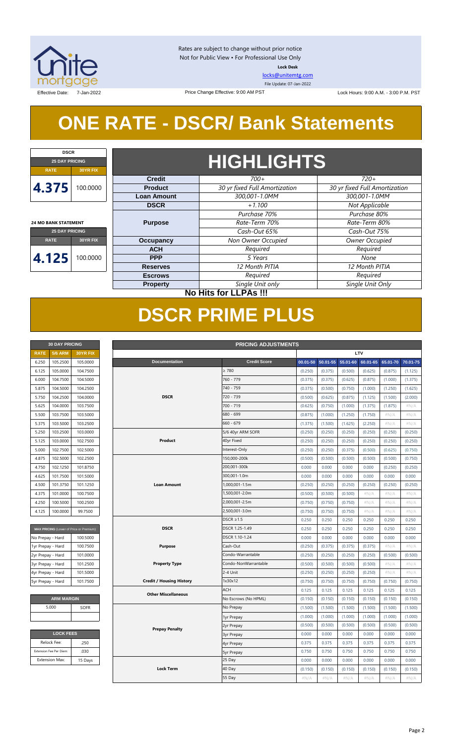

Rates are subject to change without prior notice Not for Public View • For Professional Use Only **Lock Desk**

[locks@unitemtg.com](mailto:locks@unitemtg.com)

File Update: 07-Jan-2022

Effective Date: 7-Jan-2022 The State of the Change Effective: 9:00 AM PST Lock Hours: 9:00 A.M. - 3:00 P.M. PST

## **ONE RATE - DSCR/ Bank Statements**

Price Change Effective: 9:00 AM PST

| <b>DSCR</b>                 |          |  |  |  |  |  |
|-----------------------------|----------|--|--|--|--|--|
| <b>25 DAY PRICING</b>       |          |  |  |  |  |  |
| RATE                        | 30YR FIX |  |  |  |  |  |
| 4.375                       | 100.0000 |  |  |  |  |  |
| <b>24 MO BANK STATEMENT</b> |          |  |  |  |  |  |
| <b>25 DAY PRICING</b>       |          |  |  |  |  |  |

**4.125** 100.0000

**RATE 30YR FIX**

## **HIGHLIGHTS**

| $700+$                        | $720+$                        |  |  |  |
|-------------------------------|-------------------------------|--|--|--|
| 30 yr fixed Full Amortization | 30 yr fixed Full Amortization |  |  |  |
| 300,001-1.0MM                 | 300,001-1.0MM                 |  |  |  |
| $+1.100$                      | Not Applicable                |  |  |  |
| Purchase 70%                  | Purchase 80%                  |  |  |  |
| Rate-Term 70%                 | Rate-Term 80%                 |  |  |  |
| Cash-Out 65%                  | Cash-Out 75%                  |  |  |  |
| Non Owner Occupied            | <b>Owner Occupied</b>         |  |  |  |
| Required                      | Required                      |  |  |  |
| 5 Years                       | None                          |  |  |  |
| 12 Month PITIA                | 12 Month PITIA                |  |  |  |
| Required                      | Required                      |  |  |  |
| Single Unit only              | Single Unit Only              |  |  |  |
|                               |                               |  |  |  |

### **No Hits for LLPAs !!!**

## **DSCR PRIME PLUS**

| <b>30 DAY PRICING</b> |                |                 |  |  |  |  |  |
|-----------------------|----------------|-----------------|--|--|--|--|--|
| <b>RATE</b>           | <b>5/6 ARM</b> | <b>30YR FIX</b> |  |  |  |  |  |
| 6.250                 | 105.2500       | 105.0000        |  |  |  |  |  |
| 6.125                 | 105.0000       | 104.7500        |  |  |  |  |  |
| 6.000                 | 104.7500       | 104.5000        |  |  |  |  |  |
| 5.875                 | 104.5000       | 104.2500        |  |  |  |  |  |
| 5.750                 | 104.2500       | 104.0000        |  |  |  |  |  |
| 5.625                 | 104.0000       | 103.7500        |  |  |  |  |  |
| 5.500                 | 103.7500       | 103.5000        |  |  |  |  |  |
| 5.375                 | 103.5000       | 103.2500        |  |  |  |  |  |
| 5.250                 | 103.2500       | 103.0000        |  |  |  |  |  |
| 5.125                 | 103.0000       | 102.7500        |  |  |  |  |  |
| 5.000                 | 102.7500       | 102.5000        |  |  |  |  |  |
| 4.875                 | 102.5000       | 102.2500        |  |  |  |  |  |
| 4.750                 | 102.1250       | 101.8750        |  |  |  |  |  |
| 4.625                 | 101.7500       | 101.5000        |  |  |  |  |  |
| 4.500                 | 101.3750       | 101.1250        |  |  |  |  |  |
| 4.375                 | 101.0000       | 100.7500        |  |  |  |  |  |
| 4.250                 | 100.5000       | 100.2500        |  |  |  |  |  |
| 4.125                 | 100.0000       | 99.7500         |  |  |  |  |  |

| MAX PRICING (Lower of Price or Premium) |          |  |  |  |  |  |  |
|-----------------------------------------|----------|--|--|--|--|--|--|
| No Prepay - Hard                        | 100,5000 |  |  |  |  |  |  |
| 1yr Prepay - Hard                       | 100.7500 |  |  |  |  |  |  |
| 2yr Prepay - Hard                       | 101.0000 |  |  |  |  |  |  |
| 3yr Prepay - Hard                       | 101.2500 |  |  |  |  |  |  |
| 4yr Prepay - Hard                       | 101.5000 |  |  |  |  |  |  |
| 5yr Prepay - Hard                       | 101.7500 |  |  |  |  |  |  |

| <b>ARM MARGIN</b> |  |  |  |  |  |  |  |
|-------------------|--|--|--|--|--|--|--|
| <b>SOFR</b>       |  |  |  |  |  |  |  |
|                   |  |  |  |  |  |  |  |
|                   |  |  |  |  |  |  |  |

| <b>LOCK FEES</b>        |         |  |  |  |  |  |
|-------------------------|---------|--|--|--|--|--|
| Relock Fee:             | .250    |  |  |  |  |  |
| Extension Fee Per Diem: | .030    |  |  |  |  |  |
| <b>Extension Max:</b>   | 15 Days |  |  |  |  |  |

| LTV<br><b>5/6 ARM</b><br><b>RATE</b><br>30YR FIX<br>105.2500<br><b>Documentation</b><br><b>Credit Score</b><br>105.0000<br>00.01-50<br>50.01-55<br>55.01-60<br>60.01-65<br>65.01-70<br>6.250<br>105.0000<br>$\geq 780$<br>6.125<br>104.7500<br>(0.250)<br>(0.375)<br>(0.500)<br>(0.625)<br>(0.875)<br>(1.125)<br>760 - 779<br>104.7500<br>6.000<br>104.5000<br>(0.375)<br>(0.375)<br>(0.625)<br>(0.875)<br>(1.000)<br>(1.375)<br>740 - 759<br>5.875<br>104.5000<br>104.2500<br>(0.375)<br>(0.500)<br>(0.750)<br>(1.000)<br>(1.250)<br>(1.625)<br>104.0000<br><b>DSCR</b><br>720 - 739<br>5.750<br>104.2500<br>(0.500)<br>(0.625)<br>(0.875)<br>(1.125)<br>(1.500)<br>(2.000)<br>104.0000<br>103.7500<br>700 - 719<br>(1.000)<br>#N/A<br>5.625<br>(0.625)<br>(0.750)<br>(1.375)<br>(1.875)<br>680 - 699<br>5.500<br>103.7500<br>103.5000<br>(0.875)<br>(1.000)<br>(1.250)<br>(1.750)<br>$\#N/A$<br>#N/A<br>660 - 679<br>5.375<br>103.5000<br>103.2500<br>#N/A<br>#N/A<br>(1.375)<br>(1.500)<br>(1.625)<br>(2.250)<br>5.250<br>103.2500<br>103.0000<br>5/6 40yr ARM SOFR<br>(0.250)<br>(0.250)<br>(0.250)<br>(0.250)<br>(0.250)<br>(0.250)<br>Product<br>40yr Fixed<br>5.125<br>103.0000<br>102.7500<br>(0.250)<br>(0.250)<br>(0.250)<br>(0.250)<br>(0.250)<br>(0.250)<br>5.000<br>102.7500<br>102.5000<br>Interest-Only<br>(0.250)<br>(0.250)<br>(0.375)<br>(0.500)<br>(0.625)<br>(0.750)<br>150,000-200k<br>4.875<br>102.5000<br>102.2500<br>(0.500)<br>(0.500)<br>(0.500)<br>(0.500)<br>(0.500)<br>(0.750)<br>200,001-300k<br>101.8750<br>4.750<br>102.1250<br>0.000<br>0.000<br>0.000<br>0.000<br>(0.250)<br>(0.250)<br>4.625<br>101.7500<br>101.5000<br>300,001-1.0m<br>0.000<br>0.000<br>0.000<br>0.000<br>0.000<br>0.000<br>101.3750<br>101.1250<br><b>Loan Amount</b><br>1,000,001-1.5m<br>(0.250)<br>(0.250)<br>4.500<br>(0.250)<br>(0.250)<br>(0.250)<br>(0.250)<br>1,500,001-2.0m<br>4.375<br>101.0000<br>100.7500<br>(0.500)<br>(0.500)<br>(0.500)<br>#N/A<br>#N/A<br>#N/A<br>100.2500<br>2,000,001-2.5m<br>4.250<br>100.5000<br>(0.750)<br>(0.750)<br>(0.750)<br>#N/A<br>#N/A<br>#N/A<br>100.0000<br>99.7500<br>2,500,001-3.0m<br>4.125<br>(0.750)<br>(0.750)<br>(0.750)<br>$\#N/A$<br>#N/A<br>#N/A<br>DSCR $\geq$ 1.5<br>0.250<br>0.250<br>0.250<br>0.250<br>0.250<br>0.250<br><b>DSCR</b><br>0.250<br>DSCR 1.25-1.49<br>0.250<br>0.250<br>0.250<br>0.250<br>0.250<br>MAX PRICING (Lower of Price or Premium)<br>DSCR 1.10-1.24<br>0.000<br>0.000<br>0.000<br>0.000<br>0.000<br>0.000<br>100.5000<br>100.7500<br><b>Purpose</b><br>Cash-Out<br>(0.250)<br>$\#N/A$<br>#N/A<br>(0.375)<br>(0.375)<br>(0.375)<br>101.0000<br>Condo-Warrantable<br>(0.250)<br>(0.250)<br>(0.250)<br>(0.250)<br>(0.500)<br>(0.500)<br>101.2500<br><b>Property Type</b><br>Condo-NonWarrantable<br>(0.500)<br>(0.500)<br>(0.500)<br>(0.500)<br>#N/A<br>#N/A<br>2-4 Unit<br>101.5000<br>(0.250)<br>(0.250)<br>(0.250)<br>(0.250)<br>#N/A<br>#N/A<br>1x30x12<br>101.7500<br><b>Credit / Housing History</b><br>(0.750)<br>(0.750)<br>(0.750)<br>(0.750)<br>(0.750)<br>(0.750)<br>ACH<br>0.125<br>0.125<br>0.125<br>0.125<br>0.125<br>0.125<br><b>Other Miscellaneous</b><br><b>ARM MARGIN</b><br>No Escrows (No HPML)<br>(0.150)<br>(0.150)<br>(0.150)<br>(0.150)<br>(0.150)<br>(0.150)<br>5.000<br>No Prepay<br><b>SOFR</b><br>(1.500)<br>(1.500)<br>(1.500)<br>(1.500)<br>(1.500)<br>(1.500)<br>(1.000)<br>(1.000)<br>(1.000)<br>(1.000)<br>(1.000)<br>(1.000)<br>1yr Prepay<br>(0.500)<br>(0.500)<br>(0.500)<br>(0.500)<br>(0.500)<br>(0.500)<br>2yr Prepay<br><b>Prepay Penalty</b><br><b>LOCK FEES</b><br>0.000<br>0.000<br>0.000<br>0.000<br>0.000<br>0.000<br><b>3yr Prepay</b><br>Relock Fee:<br>.250<br>0.375<br>0.375<br>0.375<br>0.375<br>0.375<br>0.375<br>4yr Prepay<br>Extension Fee Per Diem:<br>.030<br>0.750<br>0.750<br>0.750<br>0.750<br>0.750<br>0.750<br><b>5yr Prepay</b><br><b>Extension Max:</b><br>25 Day<br>15 Days<br>0.000<br>0.000<br>0.000<br>0.000<br>0.000<br>0.000<br><b>Lock Term</b><br>40 Day<br>(0.150)<br>(0.150)<br>(0.150)<br>(0.150)<br>(0.150)<br>(0.150)<br>55 Day<br>#N/A<br>#N/A<br>#N/A<br>$\#N/A$<br>#N/A<br>$\#N/A$ | <b>30 DAY PRICING</b><br><b>PRICING ADJUSTMENTS</b> |  |  |  |  |  |  |  |  |  |          |
|---------------------------------------------------------------------------------------------------------------------------------------------------------------------------------------------------------------------------------------------------------------------------------------------------------------------------------------------------------------------------------------------------------------------------------------------------------------------------------------------------------------------------------------------------------------------------------------------------------------------------------------------------------------------------------------------------------------------------------------------------------------------------------------------------------------------------------------------------------------------------------------------------------------------------------------------------------------------------------------------------------------------------------------------------------------------------------------------------------------------------------------------------------------------------------------------------------------------------------------------------------------------------------------------------------------------------------------------------------------------------------------------------------------------------------------------------------------------------------------------------------------------------------------------------------------------------------------------------------------------------------------------------------------------------------------------------------------------------------------------------------------------------------------------------------------------------------------------------------------------------------------------------------------------------------------------------------------------------------------------------------------------------------------------------------------------------------------------------------------------------------------------------------------------------------------------------------------------------------------------------------------------------------------------------------------------------------------------------------------------------------------------------------------------------------------------------------------------------------------------------------------------------------------------------------------------------------------------------------------------------------------------------------------------------------------------------------------------------------------------------------------------------------------------------------------------------------------------------------------------------------------------------------------------------------------------------------------------------------------------------------------------------------------------------------------------------------------------------------------------------------------------------------------------------------------------------------------------------------------------------------------------------------------------------------------------------------------------------------------------------------------------------------------------------------------------------------------------------------------------------------------------------------------------------------------------------------------------------------------------------------------------------------------------------------------------------------------------------------------------------------------------------------------------------------------------------------------------------------------------------------------------------------------------------------------------------------------------------------------------------------------------------------------------------------------------------------------------------------------------------------------------------------|-----------------------------------------------------|--|--|--|--|--|--|--|--|--|----------|
| No Prepay - Hard<br>1yr Prepay - Hard<br>2yr Prepay - Hard<br>3yr Prepay - Hard<br>4yr Prepay - Hard<br>5yr Prepay - Hard                                                                                                                                                                                                                                                                                                                                                                                                                                                                                                                                                                                                                                                                                                                                                                                                                                                                                                                                                                                                                                                                                                                                                                                                                                                                                                                                                                                                                                                                                                                                                                                                                                                                                                                                                                                                                                                                                                                                                                                                                                                                                                                                                                                                                                                                                                                                                                                                                                                                                                                                                                                                                                                                                                                                                                                                                                                                                                                                                                                                                                                                                                                                                                                                                                                                                                                                                                                                                                                                                                                                                                                                                                                                                                                                                                                                                                                                                                                                                                                                                               |                                                     |  |  |  |  |  |  |  |  |  |          |
|                                                                                                                                                                                                                                                                                                                                                                                                                                                                                                                                                                                                                                                                                                                                                                                                                                                                                                                                                                                                                                                                                                                                                                                                                                                                                                                                                                                                                                                                                                                                                                                                                                                                                                                                                                                                                                                                                                                                                                                                                                                                                                                                                                                                                                                                                                                                                                                                                                                                                                                                                                                                                                                                                                                                                                                                                                                                                                                                                                                                                                                                                                                                                                                                                                                                                                                                                                                                                                                                                                                                                                                                                                                                                                                                                                                                                                                                                                                                                                                                                                                                                                                                                         |                                                     |  |  |  |  |  |  |  |  |  | 70.01-75 |
|                                                                                                                                                                                                                                                                                                                                                                                                                                                                                                                                                                                                                                                                                                                                                                                                                                                                                                                                                                                                                                                                                                                                                                                                                                                                                                                                                                                                                                                                                                                                                                                                                                                                                                                                                                                                                                                                                                                                                                                                                                                                                                                                                                                                                                                                                                                                                                                                                                                                                                                                                                                                                                                                                                                                                                                                                                                                                                                                                                                                                                                                                                                                                                                                                                                                                                                                                                                                                                                                                                                                                                                                                                                                                                                                                                                                                                                                                                                                                                                                                                                                                                                                                         |                                                     |  |  |  |  |  |  |  |  |  |          |
|                                                                                                                                                                                                                                                                                                                                                                                                                                                                                                                                                                                                                                                                                                                                                                                                                                                                                                                                                                                                                                                                                                                                                                                                                                                                                                                                                                                                                                                                                                                                                                                                                                                                                                                                                                                                                                                                                                                                                                                                                                                                                                                                                                                                                                                                                                                                                                                                                                                                                                                                                                                                                                                                                                                                                                                                                                                                                                                                                                                                                                                                                                                                                                                                                                                                                                                                                                                                                                                                                                                                                                                                                                                                                                                                                                                                                                                                                                                                                                                                                                                                                                                                                         |                                                     |  |  |  |  |  |  |  |  |  |          |
|                                                                                                                                                                                                                                                                                                                                                                                                                                                                                                                                                                                                                                                                                                                                                                                                                                                                                                                                                                                                                                                                                                                                                                                                                                                                                                                                                                                                                                                                                                                                                                                                                                                                                                                                                                                                                                                                                                                                                                                                                                                                                                                                                                                                                                                                                                                                                                                                                                                                                                                                                                                                                                                                                                                                                                                                                                                                                                                                                                                                                                                                                                                                                                                                                                                                                                                                                                                                                                                                                                                                                                                                                                                                                                                                                                                                                                                                                                                                                                                                                                                                                                                                                         |                                                     |  |  |  |  |  |  |  |  |  |          |
|                                                                                                                                                                                                                                                                                                                                                                                                                                                                                                                                                                                                                                                                                                                                                                                                                                                                                                                                                                                                                                                                                                                                                                                                                                                                                                                                                                                                                                                                                                                                                                                                                                                                                                                                                                                                                                                                                                                                                                                                                                                                                                                                                                                                                                                                                                                                                                                                                                                                                                                                                                                                                                                                                                                                                                                                                                                                                                                                                                                                                                                                                                                                                                                                                                                                                                                                                                                                                                                                                                                                                                                                                                                                                                                                                                                                                                                                                                                                                                                                                                                                                                                                                         |                                                     |  |  |  |  |  |  |  |  |  |          |
|                                                                                                                                                                                                                                                                                                                                                                                                                                                                                                                                                                                                                                                                                                                                                                                                                                                                                                                                                                                                                                                                                                                                                                                                                                                                                                                                                                                                                                                                                                                                                                                                                                                                                                                                                                                                                                                                                                                                                                                                                                                                                                                                                                                                                                                                                                                                                                                                                                                                                                                                                                                                                                                                                                                                                                                                                                                                                                                                                                                                                                                                                                                                                                                                                                                                                                                                                                                                                                                                                                                                                                                                                                                                                                                                                                                                                                                                                                                                                                                                                                                                                                                                                         |                                                     |  |  |  |  |  |  |  |  |  |          |
|                                                                                                                                                                                                                                                                                                                                                                                                                                                                                                                                                                                                                                                                                                                                                                                                                                                                                                                                                                                                                                                                                                                                                                                                                                                                                                                                                                                                                                                                                                                                                                                                                                                                                                                                                                                                                                                                                                                                                                                                                                                                                                                                                                                                                                                                                                                                                                                                                                                                                                                                                                                                                                                                                                                                                                                                                                                                                                                                                                                                                                                                                                                                                                                                                                                                                                                                                                                                                                                                                                                                                                                                                                                                                                                                                                                                                                                                                                                                                                                                                                                                                                                                                         |                                                     |  |  |  |  |  |  |  |  |  |          |
|                                                                                                                                                                                                                                                                                                                                                                                                                                                                                                                                                                                                                                                                                                                                                                                                                                                                                                                                                                                                                                                                                                                                                                                                                                                                                                                                                                                                                                                                                                                                                                                                                                                                                                                                                                                                                                                                                                                                                                                                                                                                                                                                                                                                                                                                                                                                                                                                                                                                                                                                                                                                                                                                                                                                                                                                                                                                                                                                                                                                                                                                                                                                                                                                                                                                                                                                                                                                                                                                                                                                                                                                                                                                                                                                                                                                                                                                                                                                                                                                                                                                                                                                                         |                                                     |  |  |  |  |  |  |  |  |  |          |
|                                                                                                                                                                                                                                                                                                                                                                                                                                                                                                                                                                                                                                                                                                                                                                                                                                                                                                                                                                                                                                                                                                                                                                                                                                                                                                                                                                                                                                                                                                                                                                                                                                                                                                                                                                                                                                                                                                                                                                                                                                                                                                                                                                                                                                                                                                                                                                                                                                                                                                                                                                                                                                                                                                                                                                                                                                                                                                                                                                                                                                                                                                                                                                                                                                                                                                                                                                                                                                                                                                                                                                                                                                                                                                                                                                                                                                                                                                                                                                                                                                                                                                                                                         |                                                     |  |  |  |  |  |  |  |  |  |          |
|                                                                                                                                                                                                                                                                                                                                                                                                                                                                                                                                                                                                                                                                                                                                                                                                                                                                                                                                                                                                                                                                                                                                                                                                                                                                                                                                                                                                                                                                                                                                                                                                                                                                                                                                                                                                                                                                                                                                                                                                                                                                                                                                                                                                                                                                                                                                                                                                                                                                                                                                                                                                                                                                                                                                                                                                                                                                                                                                                                                                                                                                                                                                                                                                                                                                                                                                                                                                                                                                                                                                                                                                                                                                                                                                                                                                                                                                                                                                                                                                                                                                                                                                                         |                                                     |  |  |  |  |  |  |  |  |  |          |
|                                                                                                                                                                                                                                                                                                                                                                                                                                                                                                                                                                                                                                                                                                                                                                                                                                                                                                                                                                                                                                                                                                                                                                                                                                                                                                                                                                                                                                                                                                                                                                                                                                                                                                                                                                                                                                                                                                                                                                                                                                                                                                                                                                                                                                                                                                                                                                                                                                                                                                                                                                                                                                                                                                                                                                                                                                                                                                                                                                                                                                                                                                                                                                                                                                                                                                                                                                                                                                                                                                                                                                                                                                                                                                                                                                                                                                                                                                                                                                                                                                                                                                                                                         |                                                     |  |  |  |  |  |  |  |  |  |          |
|                                                                                                                                                                                                                                                                                                                                                                                                                                                                                                                                                                                                                                                                                                                                                                                                                                                                                                                                                                                                                                                                                                                                                                                                                                                                                                                                                                                                                                                                                                                                                                                                                                                                                                                                                                                                                                                                                                                                                                                                                                                                                                                                                                                                                                                                                                                                                                                                                                                                                                                                                                                                                                                                                                                                                                                                                                                                                                                                                                                                                                                                                                                                                                                                                                                                                                                                                                                                                                                                                                                                                                                                                                                                                                                                                                                                                                                                                                                                                                                                                                                                                                                                                         |                                                     |  |  |  |  |  |  |  |  |  |          |
|                                                                                                                                                                                                                                                                                                                                                                                                                                                                                                                                                                                                                                                                                                                                                                                                                                                                                                                                                                                                                                                                                                                                                                                                                                                                                                                                                                                                                                                                                                                                                                                                                                                                                                                                                                                                                                                                                                                                                                                                                                                                                                                                                                                                                                                                                                                                                                                                                                                                                                                                                                                                                                                                                                                                                                                                                                                                                                                                                                                                                                                                                                                                                                                                                                                                                                                                                                                                                                                                                                                                                                                                                                                                                                                                                                                                                                                                                                                                                                                                                                                                                                                                                         |                                                     |  |  |  |  |  |  |  |  |  |          |
|                                                                                                                                                                                                                                                                                                                                                                                                                                                                                                                                                                                                                                                                                                                                                                                                                                                                                                                                                                                                                                                                                                                                                                                                                                                                                                                                                                                                                                                                                                                                                                                                                                                                                                                                                                                                                                                                                                                                                                                                                                                                                                                                                                                                                                                                                                                                                                                                                                                                                                                                                                                                                                                                                                                                                                                                                                                                                                                                                                                                                                                                                                                                                                                                                                                                                                                                                                                                                                                                                                                                                                                                                                                                                                                                                                                                                                                                                                                                                                                                                                                                                                                                                         |                                                     |  |  |  |  |  |  |  |  |  |          |
|                                                                                                                                                                                                                                                                                                                                                                                                                                                                                                                                                                                                                                                                                                                                                                                                                                                                                                                                                                                                                                                                                                                                                                                                                                                                                                                                                                                                                                                                                                                                                                                                                                                                                                                                                                                                                                                                                                                                                                                                                                                                                                                                                                                                                                                                                                                                                                                                                                                                                                                                                                                                                                                                                                                                                                                                                                                                                                                                                                                                                                                                                                                                                                                                                                                                                                                                                                                                                                                                                                                                                                                                                                                                                                                                                                                                                                                                                                                                                                                                                                                                                                                                                         |                                                     |  |  |  |  |  |  |  |  |  |          |
|                                                                                                                                                                                                                                                                                                                                                                                                                                                                                                                                                                                                                                                                                                                                                                                                                                                                                                                                                                                                                                                                                                                                                                                                                                                                                                                                                                                                                                                                                                                                                                                                                                                                                                                                                                                                                                                                                                                                                                                                                                                                                                                                                                                                                                                                                                                                                                                                                                                                                                                                                                                                                                                                                                                                                                                                                                                                                                                                                                                                                                                                                                                                                                                                                                                                                                                                                                                                                                                                                                                                                                                                                                                                                                                                                                                                                                                                                                                                                                                                                                                                                                                                                         |                                                     |  |  |  |  |  |  |  |  |  |          |
|                                                                                                                                                                                                                                                                                                                                                                                                                                                                                                                                                                                                                                                                                                                                                                                                                                                                                                                                                                                                                                                                                                                                                                                                                                                                                                                                                                                                                                                                                                                                                                                                                                                                                                                                                                                                                                                                                                                                                                                                                                                                                                                                                                                                                                                                                                                                                                                                                                                                                                                                                                                                                                                                                                                                                                                                                                                                                                                                                                                                                                                                                                                                                                                                                                                                                                                                                                                                                                                                                                                                                                                                                                                                                                                                                                                                                                                                                                                                                                                                                                                                                                                                                         |                                                     |  |  |  |  |  |  |  |  |  |          |
|                                                                                                                                                                                                                                                                                                                                                                                                                                                                                                                                                                                                                                                                                                                                                                                                                                                                                                                                                                                                                                                                                                                                                                                                                                                                                                                                                                                                                                                                                                                                                                                                                                                                                                                                                                                                                                                                                                                                                                                                                                                                                                                                                                                                                                                                                                                                                                                                                                                                                                                                                                                                                                                                                                                                                                                                                                                                                                                                                                                                                                                                                                                                                                                                                                                                                                                                                                                                                                                                                                                                                                                                                                                                                                                                                                                                                                                                                                                                                                                                                                                                                                                                                         |                                                     |  |  |  |  |  |  |  |  |  |          |
|                                                                                                                                                                                                                                                                                                                                                                                                                                                                                                                                                                                                                                                                                                                                                                                                                                                                                                                                                                                                                                                                                                                                                                                                                                                                                                                                                                                                                                                                                                                                                                                                                                                                                                                                                                                                                                                                                                                                                                                                                                                                                                                                                                                                                                                                                                                                                                                                                                                                                                                                                                                                                                                                                                                                                                                                                                                                                                                                                                                                                                                                                                                                                                                                                                                                                                                                                                                                                                                                                                                                                                                                                                                                                                                                                                                                                                                                                                                                                                                                                                                                                                                                                         |                                                     |  |  |  |  |  |  |  |  |  |          |
|                                                                                                                                                                                                                                                                                                                                                                                                                                                                                                                                                                                                                                                                                                                                                                                                                                                                                                                                                                                                                                                                                                                                                                                                                                                                                                                                                                                                                                                                                                                                                                                                                                                                                                                                                                                                                                                                                                                                                                                                                                                                                                                                                                                                                                                                                                                                                                                                                                                                                                                                                                                                                                                                                                                                                                                                                                                                                                                                                                                                                                                                                                                                                                                                                                                                                                                                                                                                                                                                                                                                                                                                                                                                                                                                                                                                                                                                                                                                                                                                                                                                                                                                                         |                                                     |  |  |  |  |  |  |  |  |  |          |
|                                                                                                                                                                                                                                                                                                                                                                                                                                                                                                                                                                                                                                                                                                                                                                                                                                                                                                                                                                                                                                                                                                                                                                                                                                                                                                                                                                                                                                                                                                                                                                                                                                                                                                                                                                                                                                                                                                                                                                                                                                                                                                                                                                                                                                                                                                                                                                                                                                                                                                                                                                                                                                                                                                                                                                                                                                                                                                                                                                                                                                                                                                                                                                                                                                                                                                                                                                                                                                                                                                                                                                                                                                                                                                                                                                                                                                                                                                                                                                                                                                                                                                                                                         |                                                     |  |  |  |  |  |  |  |  |  |          |
|                                                                                                                                                                                                                                                                                                                                                                                                                                                                                                                                                                                                                                                                                                                                                                                                                                                                                                                                                                                                                                                                                                                                                                                                                                                                                                                                                                                                                                                                                                                                                                                                                                                                                                                                                                                                                                                                                                                                                                                                                                                                                                                                                                                                                                                                                                                                                                                                                                                                                                                                                                                                                                                                                                                                                                                                                                                                                                                                                                                                                                                                                                                                                                                                                                                                                                                                                                                                                                                                                                                                                                                                                                                                                                                                                                                                                                                                                                                                                                                                                                                                                                                                                         |                                                     |  |  |  |  |  |  |  |  |  |          |
|                                                                                                                                                                                                                                                                                                                                                                                                                                                                                                                                                                                                                                                                                                                                                                                                                                                                                                                                                                                                                                                                                                                                                                                                                                                                                                                                                                                                                                                                                                                                                                                                                                                                                                                                                                                                                                                                                                                                                                                                                                                                                                                                                                                                                                                                                                                                                                                                                                                                                                                                                                                                                                                                                                                                                                                                                                                                                                                                                                                                                                                                                                                                                                                                                                                                                                                                                                                                                                                                                                                                                                                                                                                                                                                                                                                                                                                                                                                                                                                                                                                                                                                                                         |                                                     |  |  |  |  |  |  |  |  |  |          |
|                                                                                                                                                                                                                                                                                                                                                                                                                                                                                                                                                                                                                                                                                                                                                                                                                                                                                                                                                                                                                                                                                                                                                                                                                                                                                                                                                                                                                                                                                                                                                                                                                                                                                                                                                                                                                                                                                                                                                                                                                                                                                                                                                                                                                                                                                                                                                                                                                                                                                                                                                                                                                                                                                                                                                                                                                                                                                                                                                                                                                                                                                                                                                                                                                                                                                                                                                                                                                                                                                                                                                                                                                                                                                                                                                                                                                                                                                                                                                                                                                                                                                                                                                         |                                                     |  |  |  |  |  |  |  |  |  |          |
|                                                                                                                                                                                                                                                                                                                                                                                                                                                                                                                                                                                                                                                                                                                                                                                                                                                                                                                                                                                                                                                                                                                                                                                                                                                                                                                                                                                                                                                                                                                                                                                                                                                                                                                                                                                                                                                                                                                                                                                                                                                                                                                                                                                                                                                                                                                                                                                                                                                                                                                                                                                                                                                                                                                                                                                                                                                                                                                                                                                                                                                                                                                                                                                                                                                                                                                                                                                                                                                                                                                                                                                                                                                                                                                                                                                                                                                                                                                                                                                                                                                                                                                                                         |                                                     |  |  |  |  |  |  |  |  |  |          |
|                                                                                                                                                                                                                                                                                                                                                                                                                                                                                                                                                                                                                                                                                                                                                                                                                                                                                                                                                                                                                                                                                                                                                                                                                                                                                                                                                                                                                                                                                                                                                                                                                                                                                                                                                                                                                                                                                                                                                                                                                                                                                                                                                                                                                                                                                                                                                                                                                                                                                                                                                                                                                                                                                                                                                                                                                                                                                                                                                                                                                                                                                                                                                                                                                                                                                                                                                                                                                                                                                                                                                                                                                                                                                                                                                                                                                                                                                                                                                                                                                                                                                                                                                         |                                                     |  |  |  |  |  |  |  |  |  |          |
|                                                                                                                                                                                                                                                                                                                                                                                                                                                                                                                                                                                                                                                                                                                                                                                                                                                                                                                                                                                                                                                                                                                                                                                                                                                                                                                                                                                                                                                                                                                                                                                                                                                                                                                                                                                                                                                                                                                                                                                                                                                                                                                                                                                                                                                                                                                                                                                                                                                                                                                                                                                                                                                                                                                                                                                                                                                                                                                                                                                                                                                                                                                                                                                                                                                                                                                                                                                                                                                                                                                                                                                                                                                                                                                                                                                                                                                                                                                                                                                                                                                                                                                                                         |                                                     |  |  |  |  |  |  |  |  |  |          |
|                                                                                                                                                                                                                                                                                                                                                                                                                                                                                                                                                                                                                                                                                                                                                                                                                                                                                                                                                                                                                                                                                                                                                                                                                                                                                                                                                                                                                                                                                                                                                                                                                                                                                                                                                                                                                                                                                                                                                                                                                                                                                                                                                                                                                                                                                                                                                                                                                                                                                                                                                                                                                                                                                                                                                                                                                                                                                                                                                                                                                                                                                                                                                                                                                                                                                                                                                                                                                                                                                                                                                                                                                                                                                                                                                                                                                                                                                                                                                                                                                                                                                                                                                         |                                                     |  |  |  |  |  |  |  |  |  |          |
|                                                                                                                                                                                                                                                                                                                                                                                                                                                                                                                                                                                                                                                                                                                                                                                                                                                                                                                                                                                                                                                                                                                                                                                                                                                                                                                                                                                                                                                                                                                                                                                                                                                                                                                                                                                                                                                                                                                                                                                                                                                                                                                                                                                                                                                                                                                                                                                                                                                                                                                                                                                                                                                                                                                                                                                                                                                                                                                                                                                                                                                                                                                                                                                                                                                                                                                                                                                                                                                                                                                                                                                                                                                                                                                                                                                                                                                                                                                                                                                                                                                                                                                                                         |                                                     |  |  |  |  |  |  |  |  |  |          |
|                                                                                                                                                                                                                                                                                                                                                                                                                                                                                                                                                                                                                                                                                                                                                                                                                                                                                                                                                                                                                                                                                                                                                                                                                                                                                                                                                                                                                                                                                                                                                                                                                                                                                                                                                                                                                                                                                                                                                                                                                                                                                                                                                                                                                                                                                                                                                                                                                                                                                                                                                                                                                                                                                                                                                                                                                                                                                                                                                                                                                                                                                                                                                                                                                                                                                                                                                                                                                                                                                                                                                                                                                                                                                                                                                                                                                                                                                                                                                                                                                                                                                                                                                         |                                                     |  |  |  |  |  |  |  |  |  |          |
|                                                                                                                                                                                                                                                                                                                                                                                                                                                                                                                                                                                                                                                                                                                                                                                                                                                                                                                                                                                                                                                                                                                                                                                                                                                                                                                                                                                                                                                                                                                                                                                                                                                                                                                                                                                                                                                                                                                                                                                                                                                                                                                                                                                                                                                                                                                                                                                                                                                                                                                                                                                                                                                                                                                                                                                                                                                                                                                                                                                                                                                                                                                                                                                                                                                                                                                                                                                                                                                                                                                                                                                                                                                                                                                                                                                                                                                                                                                                                                                                                                                                                                                                                         |                                                     |  |  |  |  |  |  |  |  |  |          |
|                                                                                                                                                                                                                                                                                                                                                                                                                                                                                                                                                                                                                                                                                                                                                                                                                                                                                                                                                                                                                                                                                                                                                                                                                                                                                                                                                                                                                                                                                                                                                                                                                                                                                                                                                                                                                                                                                                                                                                                                                                                                                                                                                                                                                                                                                                                                                                                                                                                                                                                                                                                                                                                                                                                                                                                                                                                                                                                                                                                                                                                                                                                                                                                                                                                                                                                                                                                                                                                                                                                                                                                                                                                                                                                                                                                                                                                                                                                                                                                                                                                                                                                                                         |                                                     |  |  |  |  |  |  |  |  |  |          |
|                                                                                                                                                                                                                                                                                                                                                                                                                                                                                                                                                                                                                                                                                                                                                                                                                                                                                                                                                                                                                                                                                                                                                                                                                                                                                                                                                                                                                                                                                                                                                                                                                                                                                                                                                                                                                                                                                                                                                                                                                                                                                                                                                                                                                                                                                                                                                                                                                                                                                                                                                                                                                                                                                                                                                                                                                                                                                                                                                                                                                                                                                                                                                                                                                                                                                                                                                                                                                                                                                                                                                                                                                                                                                                                                                                                                                                                                                                                                                                                                                                                                                                                                                         |                                                     |  |  |  |  |  |  |  |  |  |          |
|                                                                                                                                                                                                                                                                                                                                                                                                                                                                                                                                                                                                                                                                                                                                                                                                                                                                                                                                                                                                                                                                                                                                                                                                                                                                                                                                                                                                                                                                                                                                                                                                                                                                                                                                                                                                                                                                                                                                                                                                                                                                                                                                                                                                                                                                                                                                                                                                                                                                                                                                                                                                                                                                                                                                                                                                                                                                                                                                                                                                                                                                                                                                                                                                                                                                                                                                                                                                                                                                                                                                                                                                                                                                                                                                                                                                                                                                                                                                                                                                                                                                                                                                                         |                                                     |  |  |  |  |  |  |  |  |  |          |
|                                                                                                                                                                                                                                                                                                                                                                                                                                                                                                                                                                                                                                                                                                                                                                                                                                                                                                                                                                                                                                                                                                                                                                                                                                                                                                                                                                                                                                                                                                                                                                                                                                                                                                                                                                                                                                                                                                                                                                                                                                                                                                                                                                                                                                                                                                                                                                                                                                                                                                                                                                                                                                                                                                                                                                                                                                                                                                                                                                                                                                                                                                                                                                                                                                                                                                                                                                                                                                                                                                                                                                                                                                                                                                                                                                                                                                                                                                                                                                                                                                                                                                                                                         |                                                     |  |  |  |  |  |  |  |  |  |          |
|                                                                                                                                                                                                                                                                                                                                                                                                                                                                                                                                                                                                                                                                                                                                                                                                                                                                                                                                                                                                                                                                                                                                                                                                                                                                                                                                                                                                                                                                                                                                                                                                                                                                                                                                                                                                                                                                                                                                                                                                                                                                                                                                                                                                                                                                                                                                                                                                                                                                                                                                                                                                                                                                                                                                                                                                                                                                                                                                                                                                                                                                                                                                                                                                                                                                                                                                                                                                                                                                                                                                                                                                                                                                                                                                                                                                                                                                                                                                                                                                                                                                                                                                                         |                                                     |  |  |  |  |  |  |  |  |  |          |
|                                                                                                                                                                                                                                                                                                                                                                                                                                                                                                                                                                                                                                                                                                                                                                                                                                                                                                                                                                                                                                                                                                                                                                                                                                                                                                                                                                                                                                                                                                                                                                                                                                                                                                                                                                                                                                                                                                                                                                                                                                                                                                                                                                                                                                                                                                                                                                                                                                                                                                                                                                                                                                                                                                                                                                                                                                                                                                                                                                                                                                                                                                                                                                                                                                                                                                                                                                                                                                                                                                                                                                                                                                                                                                                                                                                                                                                                                                                                                                                                                                                                                                                                                         |                                                     |  |  |  |  |  |  |  |  |  |          |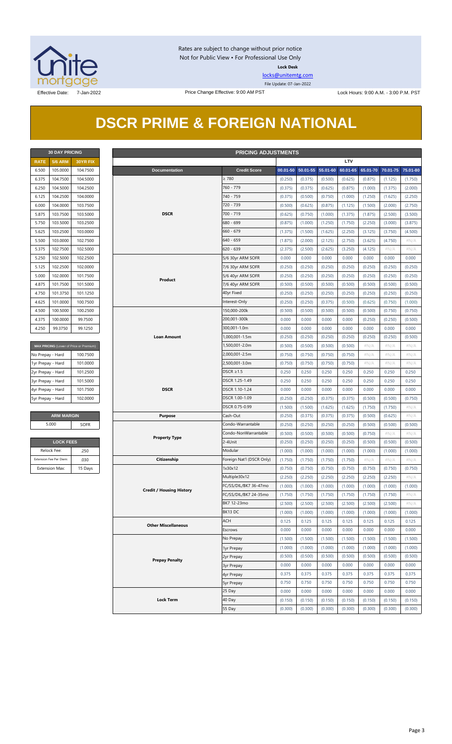

Rates are subject to change without prior notice Not for Public View • For Professional Use Only **Lock Desk**

[locks@unitemtg.com](mailto:locks@unitemtg.com) File Update: 07-Jan-2022

## **DSCR PRIME & FOREIGN NATIONAL**

| <b>30 DAY PRICING</b> |                |                 |  |  |  |  |  |
|-----------------------|----------------|-----------------|--|--|--|--|--|
| <b>RATE</b>           | <b>5/6 ARM</b> | <b>30YR FIX</b> |  |  |  |  |  |
| 6.500                 | 105.0000       | 104.7500        |  |  |  |  |  |
| 6.375                 | 104.7500       | 104.5000        |  |  |  |  |  |
| 6.250                 | 104.5000       | 104.2500        |  |  |  |  |  |
| 6.125                 | 104.2500       | 104.0000        |  |  |  |  |  |
| 6.000                 | 104.0000       | 103.7500        |  |  |  |  |  |
| 5.875                 | 103.7500       | 103.5000        |  |  |  |  |  |
| 5.750                 | 103.5000       | 103.2500        |  |  |  |  |  |
| 5.625                 | 103.2500       | 103,0000        |  |  |  |  |  |
| 5.500                 | 103.0000       | 102.7500        |  |  |  |  |  |
| 5.375                 | 102.7500       | 102,5000        |  |  |  |  |  |
| 5.250                 | 102.5000       | 102.2500        |  |  |  |  |  |
| 5.125                 | 102.2500       | 102,0000        |  |  |  |  |  |
| 5.000                 | 102,0000       | 101.7500        |  |  |  |  |  |
| 4.875                 | 101.7500       | 101.5000        |  |  |  |  |  |
| 4.750                 | 101.3750       | 101.1250        |  |  |  |  |  |
| 4.625                 | 101.0000       | 100.7500        |  |  |  |  |  |
| 4.500                 | 100.5000       | 100.2500        |  |  |  |  |  |
| 4.375                 | 100.0000       | 99.7500         |  |  |  |  |  |
| 4.250                 | 99.3750        | 99.1250         |  |  |  |  |  |

| MAX PRICING (Lower of Price or Premium) |          |
|-----------------------------------------|----------|
| No Prepay - Hard                        | 100.7500 |
| 1yr Prepay - Hard                       | 101.0000 |
| 2yr Prepay - Hard                       | 101.2500 |
| 3yr Prepay - Hard                       | 101.5000 |
| 4yr Prepay - Hard                       | 101.7500 |
| 5yr Prepay - Hard                       | 102,0000 |
|                                         |          |

| <b>LOCK FEES</b>        |         |  |  |  |  |  |
|-------------------------|---------|--|--|--|--|--|
| Relock Fee:             | 250     |  |  |  |  |  |
| Extension Fee Per Diem: | .030    |  |  |  |  |  |
| <b>Extension Max:</b>   | 15 Days |  |  |  |  |  |

|                   | <b>30 DAY PRICING</b><br><b>PRICING ADJUSTMENTS</b> |                                         |                                 |                                           |                           |                    |                   |          |          |          |          |          |
|-------------------|-----------------------------------------------------|-----------------------------------------|---------------------------------|-------------------------------------------|---------------------------|--------------------|-------------------|----------|----------|----------|----------|----------|
| <b>RATE</b>       | <b>5/6 ARM</b>                                      | 30YR FIX                                |                                 |                                           |                           |                    |                   |          | LTV      |          |          |          |
| 6.500             | 105.0000                                            | 104.7500                                | <b>Documentation</b>            |                                           | <b>Credit Score</b>       |                    | 00.01-50 50.01-55 | 55.01-60 | 60.01-65 | 65.01-70 | 70.01-75 | 75.01-80 |
| 6.375             | 104.7500                                            | 104.5000                                |                                 |                                           | $\geq 780$                | (0.250)            | (0.375)           | (0.500)  | (0.625)  | (0.875)  | (1.125)  | (1.750)  |
| 6.250             | 104.5000                                            | 104.2500                                |                                 |                                           | 760 - 779                 | (0.375)            | (0.375)           | (0.625)  | (0.875)  | (1.000)  | (1.375)  | (2.000)  |
| 6.125             | 104.2500                                            | 104.0000                                |                                 |                                           | 740 - 759                 | (0.375)            | (0.500)           | (0.750)  | (1.000)  | (1.250)  | (1.625)  | (2.250)  |
| 6.000             | 104.0000                                            | 103.7500                                |                                 | <b>DSCR</b><br>700 - 719                  |                           | (0.500)            | (0.625)           | (0.875)  | (1.125)  | (1.500)  | (2.000)  | (2.750)  |
| 5.875             | 103.7500                                            | 103.5000                                |                                 |                                           |                           | (0.625)            | (0.750)           | (1.000)  | (1.375)  | (1.875)  | (2.500)  | (3.500)  |
| 5.750             | 103.5000                                            | 103.2500                                |                                 |                                           | 680 - 699                 | (0.875)            | (1.000)           | (1.250)  | (1.750)  | (2.250)  | (3.000)  | (3.875)  |
| 5.625             | 103.2500                                            | 103.0000                                |                                 | $660 - 679$<br>$640 - 659$<br>$620 - 639$ |                           | (1.375)            | (1.500)           | (1.625)  | (2.250)  | (3.125)  | (3.750)  | (4.500)  |
| 5.500             | 103.0000                                            | 102.7500                                |                                 |                                           |                           | (1.875)            | (2.000)           | (2.125)  | (2.750)  | (3.625)  | (4.750)  | $\#N/A$  |
| 5.375             | 102.7500                                            | 102.5000                                |                                 |                                           |                           | (2.375)            | (2.500)           | (2.625)  | (3.250)  | (4.125)  | #N/A     | $\#N/A$  |
| 5.250             | 102.5000                                            | 102.2500                                |                                 |                                           | 5/6 30yr ARM SOFR         | 0.000              | 0.000             | 0.000    | 0.000    | 0.000    | 0.000    | 0.000    |
| 5.125             | 102.2500                                            | 102.0000                                |                                 |                                           | 7/6 30yr ARM SOFR         | (0.250)            | (0.250)           | (0.250)  | (0.250)  | (0.250)  | (0.250)  | (0.250)  |
| 5.000             | 102.0000                                            | 101.7500                                |                                 |                                           | 5/6 40yr ARM SOFR         | (0.250)            | (0.250)           | (0.250)  | (0.250)  | (0.250)  | (0.250)  | (0.250)  |
| 4.875             | 101.7500                                            | 101.5000                                | Product                         |                                           | 7/6 40yr ARM SOFR         | (0.500)            | (0.500)           | (0.500)  | (0.500)  | (0.500)  | (0.500)  | (0.500)  |
| 4.750             | 101.3750                                            | 101.1250                                |                                 |                                           | 40yr Fixed                | (0.250)            | (0.250)           | (0.250)  | (0.250)  | (0.250)  | (0.250)  | (0.250)  |
| 4.625             | 101.0000                                            | 100.7500                                |                                 |                                           | Interest-Only             | (0.250)            | (0.250)           | (0.375)  | (0.500)  | (0.625)  | (0.750)  | (1.000)  |
| 4.500             | 100.5000                                            | 100.2500                                |                                 |                                           | 150,000-200k              | (0.500)            | (0.500)           | (0.500)  | (0.500)  | (0.500)  | (0.750)  | (0.750)  |
| 4.375             | 100.0000                                            | 99.7500                                 |                                 |                                           | 200,001-300k              | 0.000              | 0.000             | 0.000    | 0.000    | (0.250)  | (0.250)  | (0.500)  |
| 4.250             | 99.3750                                             | 99.1250                                 |                                 |                                           | 300,001-1.0m              | 0.000              | 0.000             | 0.000    | 0.000    | 0.000    | 0.000    | 0.000    |
|                   |                                                     |                                         | <b>Loan Amount</b>              |                                           | 1,000,001-1.5m            | (0.250)            | (0.250)           | (0.250)  | (0.250)  | (0.250)  | (0.250)  | (0.500)  |
|                   |                                                     | MAX PRICING (Lower of Price or Premium) |                                 |                                           | 1,500,001-2.0m            | (0.500)            | (0.500)           | (0.500)  | (0.500)  | $\#N/A$  | $\#N/A$  | $\#N/A$  |
| No Prepay - Hard  |                                                     | 100.7500                                |                                 |                                           | 2,000,001-2.5m            | (0.750)            | (0.750)           | (0.750)  | (0.750)  | $\#N/A$  | $\#N/A$  | # $N/A$  |
| 1yr Prepay - Hard |                                                     | 101.0000                                |                                 |                                           | 2,500,001-3.0m            | (0.750)            | (0.750)           | (0.750)  | (0.750)  | $\#N/A$  | $\#N/A$  | $\#N/A$  |
| 2yr Prepay - Hard |                                                     | 101.2500                                |                                 |                                           | DSCR $\geq$ 1.5           | 0.250              | 0.250             | 0.250    | 0.250    | 0.250    | 0.250    | 0.250    |
| 3yr Prepay - Hard |                                                     | 101.5000                                |                                 |                                           | DSCR 1.25-1.49            | 0.250              | 0.250             | 0.250    | 0.250    | 0.250    | 0.250    | 0.250    |
| 4yr Prepay - Hard |                                                     | 101.7500                                | <b>DSCR</b>                     |                                           | DSCR 1.10-1.24            | 0.000              | 0.000             | 0.000    | 0.000    | 0.000    | 0.000    | 0.000    |
| 5yr Prepay - Hard |                                                     | 102.0000                                |                                 |                                           | DSCR 1.00-1.09            | (0.250)            | (0.250)           | (0.375)  | (0.375)  | (0.500)  | (0.500)  | (0.750)  |
|                   |                                                     |                                         |                                 |                                           | DSCR 0.75-0.99            | (1.500)            | (1.500)           | (1.625)  | (1.625)  | (1.750)  | (1.750)  | $\#N/A$  |
|                   | <b>ARM MARGIN</b>                                   |                                         | <b>Purpose</b>                  |                                           | Cash-Out                  | (0.250)            | (0.375)           | (0.375)  | (0.375)  | (0.500)  | (0.625)  | $\#N/A$  |
|                   | 5.000                                               | SOFR                                    |                                 |                                           | Condo-Warrantable         | (0.250)            | (0.250)           | (0.250)  | (0.250)  | (0.500)  | (0.500)  | (0.500)  |
|                   |                                                     |                                         |                                 |                                           | Condo-NonWarrantable      | (0.500)            | (0.500)           | (0.500)  | (0.500)  | (0.750)  | $\#N/A$  | #N/A     |
|                   | <b>LOCK FEES</b>                                    |                                         | <b>Property Type</b>            |                                           | 2-4Unit                   | (0.250)            | (0.250)           | (0.250)  | (0.250)  | (0.500)  | (0.500)  | (0.500)  |
|                   | Relock Fee:                                         | .250                                    |                                 |                                           | Modular                   | (1.000)            | (1.000)           | (1.000)  | (1.000)  | (1.000)  | (1.000)  | (1.000)  |
|                   | Extension Fee Per Diem:                             | .030                                    | Citizenship                     |                                           | Foreign Nat'l (DSCR Only) | (1.750)            | (1.750)           | (1.750)  | (1.750)  | $\#N/A$  | $\#N/A$  | $\#N/A$  |
|                   | <b>Extension Max:</b>                               | 15 Days                                 |                                 |                                           | 1x30x12                   | (0.750)            | (0.750)           | (0.750)  | (0.750)  | (0.750)  | (0.750)  | (0.750)  |
|                   |                                                     |                                         |                                 |                                           | Multiple30x12             | (2.250)            | (2.250)           | (2.250)  | (2.250)  | (2.250)  | (2.250)  | $\#N/A$  |
|                   |                                                     |                                         |                                 |                                           | FC/SS/DIL/BK7 36-47mo     | (1.000)            | (1.000)           | (1.000)  | (1.000)  | (1.000)  | (1.000)  | (1.000)  |
|                   |                                                     |                                         | <b>Credit / Housing History</b> |                                           | FC/SS/DIL/BK7 24-35mo     | (1.750)            | (1.750)           | (1.750)  | (1.750)  | (1.750)  | (1.750)  | # $N/A$  |
|                   |                                                     |                                         |                                 |                                           | BK7 12-23mo               | (2.500)            | (2.500)           | (2.500)  | (2.500)  | (2.500)  | (2.500)  | $\#N/A$  |
|                   |                                                     |                                         |                                 |                                           | BK13 DC                   | (1.000)            | (1.000)           | (1.000)  | (1.000)  | (1.000)  | (1.000)  | (1.000)  |
|                   |                                                     |                                         |                                 |                                           | ACH                       | 0.125              | 0.125             | 0.125    | 0.125    | 0.125    | 0.125    | 0.125    |
|                   |                                                     |                                         | <b>Other Miscellaneous</b>      |                                           | Escrows                   | 0.000              | 0.000             | 0.000    | 0.000    | 0.000    | 0.000    | 0.000    |
|                   |                                                     |                                         |                                 |                                           | No Prepay                 |                    | (1.500)           | (1.500)  | (1.500)  | (1.500)  | (1.500)  | (1.500)  |
|                   |                                                     |                                         |                                 |                                           |                           | (1.500)            | (1.000)           | (1.000)  | (1.000)  | (1.000)  | (1.000)  | (1.000)  |
|                   |                                                     |                                         |                                 |                                           | 1yr Prepay                | (1.000)<br>(0.500) | (0.500)           | (0.500)  | (0.500)  | (0.500)  | (0.500)  | (0.500)  |
|                   |                                                     | <b>Prepay Penalty</b>                   |                                 |                                           | 2yr Prepay                | 0.000              | 0.000             | 0.000    | 0.000    | 0.000    | 0.000    | 0.000    |
|                   |                                                     |                                         |                                 |                                           | 3yr Prepay                | 0.375              | 0.375             | 0.375    | 0.375    | 0.375    | 0.375    | 0.375    |
|                   |                                                     |                                         |                                 |                                           | 4yr Prepay                | 0.750              | 0.750             | 0.750    | 0.750    | 0.750    | 0.750    | 0.750    |
|                   |                                                     |                                         |                                 |                                           | 5yr Prepay<br>25 Day      | 0.000              | 0.000             | 0.000    | 0.000    | 0.000    | 0.000    | 0.000    |
|                   |                                                     |                                         | <b>Lock Term</b>                |                                           | 40 Day                    | (0.150)            | (0.150)           | (0.150)  | (0.150)  | (0.150)  | (0.150)  | (0.150)  |
|                   |                                                     |                                         |                                 |                                           | 55 Day                    |                    |                   |          |          |          |          |          |
|                   |                                                     |                                         |                                 |                                           |                           | (0.300)            | (0.300)           | (0.300)  | (0.300)  | (0.300)  | (0.300)  | (0.300)  |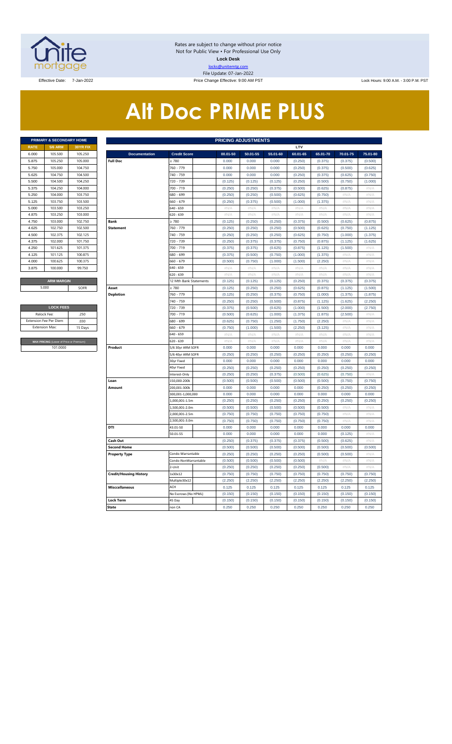

Rates are subject to change without prior notice Not for Public View • For Professional Use Only **Lock Desk** locks@unitemtg.com File Update: 07-Jan-2022

Effective Date: 7-Jan-2022 **Price Change Effective: 9:00 AM PST** Lock Hours: 9:00 A.M. - 3:00 P.M. PST

# **Alt Doc PRIME PLUS**

|             | <b>PRIMARY &amp; SECONDARY HOME</b> |                 |
|-------------|-------------------------------------|-----------------|
| <b>RATE</b> | <b>5/6 ARM</b>                      | <b>30YR FIX</b> |
| 6.000       | 105.500                             | 105.250         |
| 5.875       | 105.250                             | 105.000         |
| 5.750       | 105.000                             | 104.750         |
| 5.625       | 104.750                             | 104.500         |
| 5.500       | 104.500                             | 104.250         |
| 5.375       | 104.250                             | 104,000         |
| 5.250       | 104.000                             | 103.750         |
| 5.125       | 103.750                             | 103.500         |
| 5.000       | 103.500                             | 103.250         |
| 4.875       | 103.250                             | 103,000         |
| 4.750       | 103,000                             | 102.750         |
| 4.625       | 102.750                             | 102.500         |
| 4.500       | 102.375                             | 102.125         |
| 4.375       | 102,000                             | 101.750         |
| 4.250       | 101.625                             | 101.375         |
| 4.125       | 101.125                             | 100.875         |
| 4.000       | 100.625                             | 100.375         |
| 3.875       | 100.000                             | 99.750          |
|             |                                     |                 |
|             | <b>ARM MARGIN</b>                   |                 |

| <b>LOCK FEES</b>                        |         |  |  |  |  |  |  |  |  |  |
|-----------------------------------------|---------|--|--|--|--|--|--|--|--|--|
| Relock Fee:                             | 250     |  |  |  |  |  |  |  |  |  |
| <b>Extension Fee Per Diem</b>           | .030    |  |  |  |  |  |  |  |  |  |
| <b>Extension Max:</b>                   | 15 Days |  |  |  |  |  |  |  |  |  |
|                                         |         |  |  |  |  |  |  |  |  |  |
| MAX PRICING (Lower of Price or Premium) |         |  |  |  |  |  |  |  |  |  |
| 101.0000                                |         |  |  |  |  |  |  |  |  |  |

|                       | PRIMARY & SECONDARY HOME                             |          | <b>PRICING ADJUSTMENTS</b>    |                                 |                |                  |                |                  |                |                     |                  |  |  |
|-----------------------|------------------------------------------------------|----------|-------------------------------|---------------------------------|----------------|------------------|----------------|------------------|----------------|---------------------|------------------|--|--|
| <b>RATE</b>           | <b>5/6 ARM</b>                                       | 30YR FIX |                               |                                 |                |                  |                | LTV              |                |                     |                  |  |  |
| 6.000                 | 105.500                                              | 105.250  | <b>Documentation</b>          | <b>Credit Score</b>             | 00.01-50       | 50.01-55         | 55.01-60       | 60.01-65         | 65.01-70       | 70.01-75            | 75.01-80         |  |  |
| 5.875                 | 105.250                                              | 105.000  | <b>Full Doc</b>               | $\geq 780$                      | 0.000          | 0.000            | 0.000          | (0.250)          | (0.375)        | (0.375)             | (0.500)          |  |  |
| 5.750                 | 105.000                                              | 104.750  |                               | 760 - 779                       | 0.000          | 0.000            | 0.000          | (0.250)          | (0.375)        | (0.500)             | (0.625)          |  |  |
| 5.625                 | 104.750                                              | 104.500  |                               | 740 - 759                       | 0.000          | 0.000            | 0.000          | (0.250)          | (0.375)        | (0.625)             | (0.750)          |  |  |
| 5.500                 | 104.500                                              | 104.250  |                               | 720 - 739                       | (0.125)        | (0.125)          | (0.125)        | (0.250)          | (0.500)        | (0.750)             | (1.000)          |  |  |
| 5.375                 | 104.250                                              | 104.000  |                               | 700 - 719                       | (0.250)        | (0.250)          | (0.375)        | (0.500)          | (0.625)        | (0.875)             | #N/A             |  |  |
| 5.250                 | 104.000                                              | 103.750  |                               | 580 - 699                       | (0.250)        | (0.250)          | (0.500)        | (0.625)          | (0.750)        | #N//                | #N/A             |  |  |
| 5.125                 | 103.750                                              | 103.500  |                               | 660 - 679                       | (0.250)        | (0.375)          | (0.500)        | (1.000)          | (1.375)        | #N/A                | #N/A             |  |  |
| 5.000                 | 103.500                                              | 103.250  |                               | 640 - 659                       | $\#N/A$        | #N/A             | $\#N/A$        | #N/A             | #N/A           | #N/A                | $\#N/A$          |  |  |
| 4.875                 | 103.250                                              | 103.000  |                               | 620 - 639                       | #N/A           | #N/A             | #N/A           | #N/A             | $\#N/A$        | #N/A                | #N/A             |  |  |
| 4.750                 | 103.000                                              | 102.750  | <b>Bank</b>                   | $\geq 780$                      | (0.125)        | (0.250)          | (0.250)        | (0.375)          | (0.500)        | (0.625)             | (0.875)          |  |  |
| 4.625                 | 102.750                                              | 102.500  | <b>Statement</b>              | 760 - 779                       | (0.250)        | (0.250)          | (0.250)        | (0.500)          | (0.625)        | (0.750)             | (1.125)          |  |  |
| 4.500                 | 102.375                                              | 102.125  |                               | 740 - 759                       | (0.250)        | (0.250)          | (0.250)        | (0.625)          | (0.750)        | (1.000)             | (1.375)          |  |  |
| 4.375                 | 102.000                                              | 101.750  |                               | 720 - 739                       | (0.250)        | (0.375)          | (0.375)        | (0.750)          | (0.875)        | (1.125)             | (1.625)          |  |  |
| 4.250                 | 101.625                                              | 101.375  |                               | 700 - 719                       | (0.375)        | (0.375)          | (0.625)        | (0.875)          | (1.125)        | (1.500)             | $\#N/A$          |  |  |
| 4.125                 | 101.125                                              | 100.875  |                               | 680 - 699                       | (0.375)        | (0.500)          | (0.750)        | (1.000)          | (1.375)        | $\#\mathbb{N}/\ell$ | #N/A             |  |  |
| 4.000                 | 100.625                                              | 100.375  |                               | 660 - 679                       | (0.500)        | (0.750)          | (1.000)        | (1.500)          | (2.250)        | #N/A                | #N/A             |  |  |
| 3.875                 | 100.000                                              | 99.750   |                               | 640 - 659                       | $\#N/A$        | #N/A             | $\#N/A$        | $\#N/A$          | $\#N/A$        | #N/A                | #N/A             |  |  |
|                       |                                                      |          |                               | 520 - 639                       | #N/A           | #N/A             | #N/A           | #N/A             | #N/A           | #N/A                | $\#N/A$          |  |  |
|                       | <b>ARM MARGIN</b>                                    |          |                               | 12 Mth Bank Statements          | (0.125)        | (0.125)          | (0.125)        | (0.250)          | (0.375)        | (0.375)             | (0.375)          |  |  |
| 5.000                 |                                                      | SOFR     | Asset                         | $\geq 780$                      | (0.125)        | (0.250)          | (0.250)        | (0.625)          | (0.875)        | (1.125)             | (1.500)          |  |  |
|                       |                                                      |          | <b>Depletion</b>              | 760 - 779                       | (0.125)        | (0.250)          | (0.375)        | (0.750)          | (1.000)        | (1.375)             | (1.875)          |  |  |
|                       |                                                      |          |                               | 740 - 759                       | (0.250)        | (0.250)          | (0.500)        | (0.875)          | (1.125)        | (1.625)             | (2.250)          |  |  |
|                       | <b>LOCK FEES</b>                                     |          |                               | 720 - 739                       | (0.375)        | (0.500)          | (0.625)        | (1.000)          | (1.500)        | (2.000)             | (2.750)          |  |  |
|                       | Relock Fee:<br>.250<br>xtension Fee Per Diem<br>.030 |          |                               | 700 - 719                       | (0.500)        | (0.625)          | (1.000)        | (1.375)          | (1.875)        | (2.500)             | #N/A             |  |  |
|                       |                                                      |          |                               | 680 - 699                       | (0.625)        | (0.750)          | (1.250)        | (1.750)          | (2.250)        | #N/A                | #N/A             |  |  |
| <b>Extension Max:</b> |                                                      | 15 Days  |                               | 660 - 679                       | (0.750)        | (1.000)          | (1.500)        | (2.250)          | (3.125)        | #N/A                | #N/A             |  |  |
|                       |                                                      |          |                               | 640 - 659                       | $\#N/A$        | #N/A             | #N/A           | #N/A             | #N/A           | #N/A                | #N/A             |  |  |
|                       | MAX PRICING (Lower of Price or Premium)              |          |                               | 620 - 639                       | #N/A           | #N/A             | #N/A           | #N/A             | #N/A           | #N/A                | #N/A             |  |  |
|                       | 101.0000                                             |          | Product                       | 5/6 30yr ARM SOFR               | 0.000          | 0.000            | 0.000          | 0.000            | 0.000          | 0.000               | 0.000            |  |  |
|                       |                                                      |          |                               | 5/6 40yr ARM SOFR               | (0.250)        | (0.250)          | (0.250)        | (0.250)          | (0.250)        | (0.250)             | (0.250)          |  |  |
|                       |                                                      |          |                               | 30yr Fixed                      | 0.000          | 0.000            | 0.000          | 0.000            | 0.000          | 0.000               | 0.000            |  |  |
|                       |                                                      |          |                               | 40yr Fixed                      | (0.250)        | (0.250)          | (0.250)        | (0.250)          | (0.250)        | (0.250)             | (0.250)          |  |  |
|                       |                                                      |          |                               | Interest-Only                   | (0.250)        | (0.250)          | (0.375)        | (0.500)          | (0.625)        | (0.750)             | $\#N/A$          |  |  |
|                       |                                                      |          | Loan                          | 150,000-200k                    | (0.500)        | (0.500)          | (0.500)        | (0.500)          | (0.500)        | (0.750)             | (0.750)          |  |  |
|                       |                                                      |          | Amount                        | 200,001-300k                    | 0.000          | 0.000            | 0.000          | 0.000            | (0.250)        | (0.250)             | (0.250)          |  |  |
|                       |                                                      |          |                               | 300,001-1,000,000               | 0.000          | 0.000            | 0.000          | 0.000            | 0.000          | 0.000               | 0.000            |  |  |
|                       |                                                      |          |                               | .,000,001-1.5m                  | (0.250)        | (0.250)          | (0.250)        | (0.250)          | (0.250)        | (0.250)             | (0.250)          |  |  |
|                       |                                                      |          |                               | 1,500,001-2.0m                  | (0.500)        | (0.500)          | (0.500)        | (0.500)          | (0.500)        | #N/ $/$             | #N/A             |  |  |
|                       |                                                      |          |                               | 2,000,001-2.5m<br>,500,001-3.0m | (0.750)        | (0.750)          | (0.750)        | (0.750)          | (0.750)        | #N/A<br>#N//        | #N/A<br>$\#NI/$  |  |  |
|                       |                                                      |          | DTI                           |                                 | (0.750)        | (0.750)<br>0.000 | (0.750)        | (0.750)<br>0.000 | (0.750)        | 0.000               |                  |  |  |
|                       |                                                      |          |                               | 43.01-50<br>50.01-55            | 0.000<br>0.000 | 0.000            | 0.000<br>0.000 | 0.000            | 0.000<br>0.000 | (0.125)             | 0.000<br>$\#N/A$ |  |  |
|                       |                                                      |          | Cash Out                      |                                 | (0.250)        | (0.375)          | (0.375)        | (0.375)          | (0.500)        | (0.625)             | #N/A             |  |  |
|                       |                                                      |          | <b>Second Home</b>            |                                 | (0.500)        | (0.500)          | (0.500)        | (0.500)          | (0.500)        | (0.500)             | (0.500)          |  |  |
|                       |                                                      |          | <b>Property Type</b>          | Condo-Warrantable               | (0.250)        | (0.250)          | (0.250)        | (0.250)          | (0.500)        | (0.500)             | $\#N/A$          |  |  |
|                       |                                                      |          |                               | Condo-NonWarrantable            | (0.500)        | (0.500)          | (0.500)        | (0.500)          | $\#N/A$        | $\#N/\ell$          | $\#N/\beta$      |  |  |
|                       |                                                      |          |                               | 2-Unit                          | (0.250)        | (0.250)          | (0.250)        | (0.250)          | (0.500)        | #N/A                | #N/A             |  |  |
|                       |                                                      |          | <b>Credit/Housing History</b> | 1x30x12                         | (0.750)        | (0.750)          | (0.750)        | (0.750)          | (0.750)        | (0.750)             | (0.750)          |  |  |
|                       |                                                      |          |                               | Multiple30x12                   | (2.250)        | (2.250)          | (2.250)        | (2.250)          | (2.250)        | (2.250)             | (2.250)          |  |  |
|                       |                                                      |          | <b>Misccellaneous</b>         | ACH                             | 0.125          | 0.125            | 0.125          | 0.125            | 0.125          | 0.125               | 0.125            |  |  |
|                       |                                                      |          |                               | No Escrows (No HPML)            | (0.150)        | (0.150)          | (0.150)        | (0.150)          | (0.150)        | (0.150)             | (0.150)          |  |  |
|                       |                                                      |          | <b>Lock Term</b>              | 45 Day                          | (0.150)        | (0.150)          | (0.150)        | (0.150)          | (0.150)        | (0.150)             | (0.150)          |  |  |
|                       |                                                      |          | <b>State</b>                  | non CA                          | 0.250          | 0.250            | 0.250          | 0.250            | 0.250          | 0.250               | 0.250            |  |  |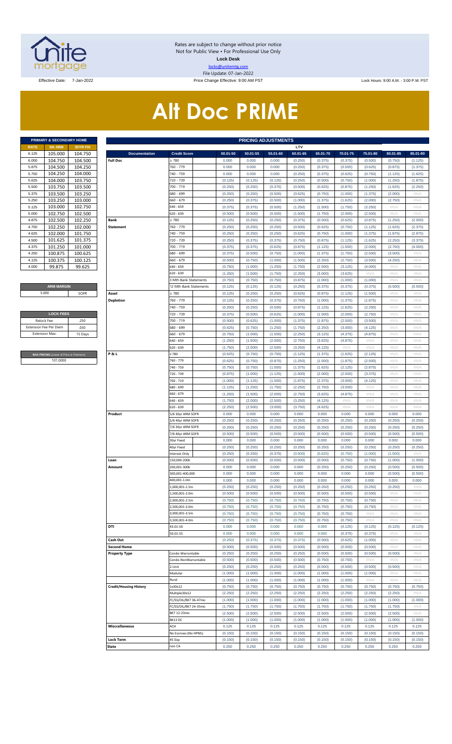

Rates are subject to change without prior notice Not for Public View • For Professional Use Only **Lock Desk** locks@unitemtg.com File Update: 07-Jan-2022

Effective Date: 7-Jan-2022 **Price Change Effective: 9:00 AM PST** Lock Hours: 9:00 A.M. - 3:00 P.M. PST

# **Alt Doc PRIME**

|             | PRIMARY & SECONDARY HOME |                 |
|-------------|--------------------------|-----------------|
| <b>RATE</b> | <b>5/6 ARM</b>           | <b>30YR FIX</b> |
| 6.125       | 105.000                  | 104.750         |
| 6.000       | 104.750                  | 104.500         |
| 5.875       | 104.500                  | 104.250         |
| 5.750       | 104.250                  | 104.000         |
| 5.625       | 104.000                  | 103.750         |
| 5.500       | 103.750                  | 103.500         |
| 5.375       | 103.500                  | 103.250         |
| 5.250       | 103.250                  | 103.000         |
| 5.125       | 103.000                  | 102.750         |
| 5.000       | 102.750                  | 102.500         |
| 4.875       | 102.500                  | 102.250         |
| 4.750       | 102.250                  | 102.000         |
| 4.625       | 102.000                  | 101.750         |
| 4.500       | 101.625                  | 101.375         |
| 4.375       | 101.250                  | 101.000         |
| 4.250       | 100.875                  | 100.625         |
| 4.125       | 100.375                  | 100.125         |
| 4.000       | 99.875                   | 99.625          |

#### **ARM MARGIN** 5.000

| <b>LOCK FEES</b>              |         |
|-------------------------------|---------|
| Relock Fee:                   | 250     |
| <b>Extension Fee Per Diem</b> | .030    |
| <b>Extension Max:</b>         | 15 Days |
|                               |         |

**RICING** (Lower of Price or Premium) 101.0000

|                | PRIMARY & SECONDARY HOME                            |                    |                               |                              |                    | <b>PRICING ADJUSTMENTS</b> |                    |                    |                    |                    |                    |                    |                    |
|----------------|-----------------------------------------------------|--------------------|-------------------------------|------------------------------|--------------------|----------------------------|--------------------|--------------------|--------------------|--------------------|--------------------|--------------------|--------------------|
| RATE           | <b>5/6 ARM</b>                                      | 30YR FIX           |                               |                              |                    |                            |                    | LTV                |                    |                    |                    |                    |                    |
| 6.125          | 105.000                                             | 104.750            | <b>Documentation</b>          | <b>Credit Score</b>          | 00.01-50           | 50.01-55                   | 55.01-60           | 60.01-65           | 65.01-70           | 70.01-75           | 75.01-80           | 80.01-85           | 85.01-90           |
| 6.000          | 104.750                                             | 104.500            | <b>Full Doc</b>               | 2780                         | 0.000              | 0.000                      | 0.000              | (0.250)            | (0.375)            | (0.375)            | (0.500)            | (0.750)            | (1.125)            |
| 5.875          | 104.500                                             | 104.250            |                               | 760 - 779                    | 0.000              | 0.000<br>0.000             | 0.000              | (0.250)            | (0.375)            | (0.500)            | (0.625)            | (0.875)            | (1.375)            |
| 5.750<br>5.625 | 104.250<br>104.000                                  | 104.000<br>103.750 |                               | 740 - 759<br>720 - 739       | 0.000<br>(0.125)   | (0.125)                    | 0.000<br>(0.125)   | (0.250)<br>(0.250) | (0.375)<br>(0.500) | (0.625)<br>(0.750) | (0.750)<br>(1.000) | (1.125)<br>(1.250) | (1.625)<br>(1.875) |
| 5.500          | 103.750                                             | 103.500            |                               | 700 - 719                    | (0.250)            | (0.250)                    | (0.375)            | (0.500)            | (0.625)            | (0.875)            | (1.250)            | (1.625)            | (2.250)            |
| 5.375          | 103.500                                             | 103.250            |                               | 680 - 699                    | (0.250)            | (0.250)                    | (0.500)            | (0.625)            | (0.750)            | (1.000)            | (1.375)            | (2.000)            | #N/A               |
| 5.250          | 103.250                                             | 103.000            |                               | 660 - 679                    | (0.250)            | (0.375)                    | (0.500)            | (1.000)            | (1.375)            | (1.625)            | (2.000)            | (2.750)            | #N/A               |
| 5.125          | 103.000                                             | 102.750            |                               | 640 - 659                    | (0.375)            | (0.375)                    | (0.500)            | (1.250)            | (1.500)            | (1.750)            | (2.250)            | #N/A               | #N/A               |
| 5.000          | 102.750                                             | 102.500            |                               | 620 - 639                    | (0.500)            | (0.500)                    | (0.500)            | (1.500)            | (1.750)            | (2.000)            | (2.500)            | #N/A               | #N/A               |
| 4.875          | 102.500                                             | 102.250            | Bank                          | 2780                         | (0.125)            | (0.250)                    | (0.250)            | (0.375)            | (0.500)            | (0.625)            | (0.875)            | (1.250)            | (2.000)            |
| 4.750          | 102.250                                             | 102.000            | <b>Statement</b>              | 760 - 779                    | (0.250)            | (0.250)                    | (0.250)            | (0.500)            | (0.625)            | (0.750)            | (1.125)            | (1.625)            | (2.375)            |
| 4.625          | 102.000                                             | 101.750            |                               | 740 - 759                    | (0.250)            | (0.250)                    | (0.250)            | (0.625)            | (0.750)            | (1.000)            | (1.375)            | (1.875)            | (2.875)            |
| 4.500          | 101.625                                             | 101.375            |                               | 720 - 739                    | (0.250)            | (0.375)                    | (0.375)            | (0.750)            | (0.875)            | (1.125)            | (1.625)            | (2.250)            | (3.375)            |
| 4.375          | 101.250                                             | 101.000            |                               | 700 - 719                    | (0.375)            | (0.375)                    | (0.625)            | (0.875)            | (1.125)            | (1.500)            | (2.000)            | (2.750)            | (4.000)            |
| 4.250          | 100.875                                             | 100.625            |                               | 680 - 699                    | (0.375)            | (0.500)                    | (0.750)            | (1.000)            | (1.375)            | (1.750)            | (2.500)            | (3.500)            | #N/A               |
| 4.125          | 100.375                                             | 100.125            |                               | 660 - 679                    | (0.500)            | (0.750)                    | (1.000)            | (1.500)            | (2.250)            | (2.750)            | (3.500)            | (4.250)            | $\#N/A$            |
| 4.000          | 99.875                                              | 99.625             |                               | 640 - 659                    | (0.750)            | (1.000)                    | (1.250)            | (1.750)            | (2.500)            | (3.125)            | (4.000)            | $\#N/A$            | #N/A               |
|                |                                                     |                    |                               | 620 - 639                    | (1.250)            | (1.500)                    | (1.750)            | (2.250)            | (3.000)            | (3.625)            | $\#N/A$            | #N/A               | #N/A               |
|                |                                                     |                    |                               | 3 Mth Bank Statements        | (0.750)            | (0.750)                    | (0.750)            | (0.875)            | (1.000)            | (1.000)            | (1.000)            | #N/A               | #N/A               |
|                | <b>ARM MARGIN</b>                                   |                    |                               | 12 Mth Bank Statements       | (0.125)            | (0.125)                    | (0.125)            | (0.250)            | (0.375)            | (0.375)            | (0.375)            | (0.500)            | (0.500)            |
|                | 5.000                                               | SOFR               | Asset                         | 2780                         | (0.125)            | (0.250)                    | (0.250)            | (0.625)            | (0.875)            | (1.125)            | (1.500)            | #N/A               | #N/A               |
|                |                                                     |                    | <b>Depletion</b>              | 760 - 779                    | (0.125)            | (0.250)                    | (0.375)            | (0.750)            | (1.000)            | (1.375)            | (1.875)            | #N/A               | #N/A               |
|                |                                                     |                    |                               | 740 - 759                    | (0.250)            | (0.250)                    | (0.500)            | (0.875)            | (1.125)            | (1.625)            | (2.250)            | #N/A               | #N/A               |
|                | <b>LOCK FEES</b>                                    |                    |                               | 720 - 739                    | (0.375)            | (0.500)                    | (0.625)            | (1.000)            | (1.500)            | (2.000)            | (2.750)            | #N/A               | #N/A               |
|                | Relock Fee:                                         | .250               |                               | 700 - 719                    | (0.500)            | (0.625)                    | (1.000)            | (1.375)            | (1.875)            | (2.500)            | (3.500)            | #N/A               | #N/A               |
|                | xtension Fee Per Diem                               | .030               |                               | 680 - 699                    | (0.625)            | (0.750)                    | (1.250)            | (1.750)            | (2.250)            | (3.000)            | (4.125)            | $\#N/A$            | #N/A               |
|                | Extension Max:                                      | 15 Days            |                               | 660 - 679                    | (0.750)            | (1.000)                    | (1.500)            | (2.250)            | (3.125)            | (4.375)            | (4.875)            | #N/A               | #N/A               |
|                |                                                     |                    |                               | 640 - 659<br>620 - 639       | (1.250)<br>(1.750) | (1.500)<br>(2.000)         | (2.000)<br>(2.500) | (2.750)<br>(3.250) | (3.625)<br>(4.125) | (4.875)<br>$\#N/A$ | #N/A<br>#N/A       | #N/A<br>$\#N/A$    | #N/A<br>#N/A       |
|                |                                                     |                    | P&L                           | 2780                         | (0.625)            | (0.750)                    | (0.750)            | (1.125)            | (1.375)            | (1.625)            | (2.125)            | #N/A               | #N/A               |
|                | MAX PRICING (Lower of Price or Premium)<br>101.0000 |                    |                               | 760 - 779                    | (0.625)            | (0.750)                    | (0.875)            | (1.250)            | (1.500)            | (1.875)            | (2.500)            | #N/A               | #N/A               |
|                |                                                     |                    |                               | 740 - 759                    | (0.750)            | (0.750)                    | (1.000)            | (1.375)            | (1.625)            | (2.125)            | (2.875)            | #N/A               | #N/A               |
|                |                                                     |                    |                               | 720 - 739                    | (0.875)            | (1.000)                    | (1.125)            | (1.500)            | (2.000)            | (2.500)            | (3.375)            | $\#N/A$            | #N/A               |
|                |                                                     |                    |                               | 700 - 719                    | (1.000)            | (1.125)                    | (1.500)            | (1.875)            | (2.375)            | (3.000)            | (4.125)            | #N/A               | #N/A               |
|                |                                                     |                    |                               | 680 - 699                    | (1.125)            | (1.250)                    | (1.750)            | (2.250)            | (2.750)            | (3.500)            | $\#N/A$            | #N/A               | #N/A               |
|                |                                                     |                    |                               | 660 - 679                    | (1.250)            | (1.500)                    | (2.000)            | (2.750)            | (3.625)            | (4.875)            | #N//               | $\#N/A$            | #N/A               |
|                |                                                     |                    |                               | 640 - 659                    | (1.750)            | (2.000)                    | (2.500)            | (3.250)            | (4.125)            | $\#N/A$            | #N//               | #N/A               | #N/A               |
|                |                                                     |                    |                               | 620 - 639                    | (2.250)            | (2.500)                    | (3.000)            | (3.750)            | (4.625)            | #N/A               | $\#N/A$            | #N/A               | #N/A               |
|                |                                                     |                    | Product                       | 5/6 30yr ARM SOFR            | 0.000              | 0.000                      | 0.000              | 0.000              | 0.000              | 0.000              | 0.000              | 0.000              | 0.000              |
|                |                                                     |                    |                               | 5/6 40yr ARM SOFR            | (0.250)            | (0.250)                    | (0.250)            | (0.250)            | (0.250)            | (0.250)            | (0.250)            | (0.250)            | (0.250)            |
|                |                                                     |                    |                               | 7/6 30vr ARM SOFR            | (0.250)            | (0.250)                    | (0.250)            | (0.250)            | (0.250)            | (0.250)            | (0.250)            | (0.250)            | (0.250)            |
|                |                                                     |                    |                               | 7/6 40yr ARM SOFR            | (0.500)            | (0.500)                    | (0.500)            | (0.500)            | (0.500)            | (0.500)            | (0.500)            | (0.500)            | (0.500)            |
|                |                                                     |                    |                               | 30yr Fixed                   | 0.000              | 0.000                      | 0.000              | 0.000              | 0.000              | 0.000              | 0.000              | 0.000              | 0.000              |
|                |                                                     |                    |                               | 40yr Fixed                   | (0.250)            | (0.250)                    | (0.250)            | (0.250)            | (0.250)            | (0.250)            | (0.250)            | (0.250)            | (0.250)            |
|                |                                                     |                    |                               | Interest-Only                | (0.250)<br>(0.500) | (0.250)<br>(0.500)         | (0.375)<br>(0.500) | (0.500)            | (0.625)<br>(0.500) | (0.750)<br>(0.750) | (1.000)<br>(0.750) | (1.500)<br>(1.000) | #N/A<br>(1.000)    |
|                |                                                     |                    | Loan<br>Amount                | 150,000-200k<br>200,001-300k | 0.000              | 0.000                      | 0.000              | (0.500)<br>0.000   | (0.250)            | (0.250)            | (0.250)            | (0.500)            | (0.500)            |
|                |                                                     |                    |                               | 300,001-400,000              | 0.000              | 0.000                      | 0.000              | 0.000              | 0.000              | 0.000              | 0.000              | (0.500)            | (0.500)            |
|                |                                                     |                    |                               | 400,001-1.0m                 | 0.000              | 0.000                      | 0.000              | 0.000              | 0.000              | 0.000              | 0.000              | 0.000              | 0.000              |
|                |                                                     |                    |                               | .000.001-1.5m                | (0.250)            | (0.250)                    | (0.250)            | (0.250)            | (0.250)            | (0.250)            | (0.250)            | (0.250)            | #N/A               |
|                |                                                     |                    |                               | .500.001-2.0m                | (0.500)            | (0.500)                    | (0.500)            | (0.500)            | (0.500)            | (0.500)            | (0.500)            | #N/A               | #N/A               |
|                |                                                     |                    |                               | .000.001-2.5m                | (0.750)            | (0.750)                    | (0.750)            | (0.750)            | (0.750)            | (0.750)            | (0.750)            | #N/A               | #N/A               |
|                |                                                     |                    |                               | ,500,001-3.0m                | (0.750)            | (0.750)                    | (0.750)            | (0.750)            | (0.750)            | (0.750)            | (0.750)            | #N/A               | #N/A               |
|                |                                                     |                    |                               | ,000,001-3.5m                | (0.750)            | (0.750)                    | (0.750)            | (0.750)            | (0.750)            | (0.750)            | #N/A               | #N/A               | #N/A               |
|                |                                                     |                    |                               | ,500,001-4.0m                | (0.750)            | (0.750)                    | (0.750)            | (0.750)            | (0.750)            | (0.750)            | #N/A               | #N/A               | #N/A               |
|                |                                                     |                    | DTI                           | 43.01-50                     | 0.000              | 0.000                      | 0.000              | 0.000              | 0.000              | (0.125)            | (0.125)            | (0.125)            | (0.125)            |
|                |                                                     |                    |                               | 50.01-55                     | 0.000              | 0.000                      | 0.000              | 0.000              | 0.000              | (0.375)            | (0.375)            | #N/A               | #N/A               |
|                |                                                     |                    | Cash Out                      |                              | (0.250)            | (0.375)                    | (0.375)            | (0.375)            | (0.500)            | (0.625)            | (1.000)            | #N/A               | #N/A               |
|                |                                                     |                    | <b>Second Home</b>            |                              | (0.500)            | (0.500)                    | (0.500)            | (0.500)            | (0.500)            | (0.500)            | (0.500)            | #N/A               | #N/A               |
|                |                                                     |                    | <b>Property Type</b>          | Condo-Warrantable            | (0.250)            | (0.250)                    | (0.250)            | (0.250)            | (0.500)            | (0.500)            | (0.500)            | (0.500)            | #N/A               |
|                |                                                     |                    |                               | Condo-NonWarrantable         | (0.500)            | (0.500)                    | (0.500)            | (0.500)            | (0.750)            | (0.750)            | $\#N/A$            | #N/A               | #N/A               |
|                |                                                     |                    |                               | -Unit                        | (0.250)            | (0.250)                    | (0.250)            | (0.250)            | (0.500)            | (0.500)            | (0.500)            | (0.500)            | #N/A               |
|                |                                                     |                    |                               | Modular                      | (1.000)            | (1.000)                    | (1.000)<br>(1.000) | (1.000)<br>(1.000) | (1.000)            | (1.000)            | (1.000)<br>#N/A    | #N/A<br>#N/A       | #N/A<br>#N/A       |
|                |                                                     |                    |                               | Rural<br>Lx30x12             | (1.000)<br>(0.750) | (1.000)<br>(0.750)         | (0.750)            | (0.750)            | (1.000)<br>(0.750) | (1.000)<br>(0.750) | (0.750)            | (0.750)            | (0.750)            |
|                |                                                     |                    | <b>Credit/Housing History</b> | Multiple30x12                | (2.250)            | (2.250)                    | (2.250)            | (2.250)            | (2.250)            | (2.250)            | (2.250)            | (2.250)            | #N/A               |
|                |                                                     |                    |                               | FC/SS/DIL/BK7 36-47mo        | (1.000)            | (1.000)                    | (1.000)            | (1.000)            | (1.000)            | (1.000)            | (1.000)            | (1.000)            | (1.000)            |
|                |                                                     |                    |                               | C/SS/DIL/BK7 24-35mo         | (1.750)            | (1.750)                    | (1.750)            | (1.750)            | (1.750)            | (1.750)            | (1.750)            | (1.750)            | #N/A               |
|                |                                                     |                    |                               | BK7 12-23mo                  | (2.500)            | (2.500)                    | (2.500)            | (2.500)            | (2.500)            | (2.500)            | (2.500)            | (2.500)            | #N/A               |
|                |                                                     |                    |                               | BK13 DC                      | (1.000)            | (1.000)                    | (1.000)            | (1.000)            | (1.000)            | (1.000)            | (1.000)            | (1.000)            | (1.000)            |
|                |                                                     |                    | <b>Misccellaneous</b>         | ACH                          | 0.125              | 0.125                      | 0.125              | 0.125              | 0.125              | 0.125              | 0.125              | 0.125              | 0.125              |
|                |                                                     |                    |                               | No Escrows (No HPML)         | (0.150)            | (0.150)                    | (0.150)            | (0.150)            | (0.150)            | (0.150)            | (0.150)            | (0.150)            | (0.150)            |
|                |                                                     |                    | <b>Lock Term</b>              | 45 Day                       | (0.150)            | (0.150)                    | (0.150)            | (0.150)            | (0.150)            | (0.150)            | (0.150)            | (0.150)            | (0.150)            |
|                |                                                     |                    | State                         | non CA                       | 0.250              | 0.250                      | 0.250              | 0.250              | 0.250              | 0.250              | 0.250              | 0.250              | 0.250              |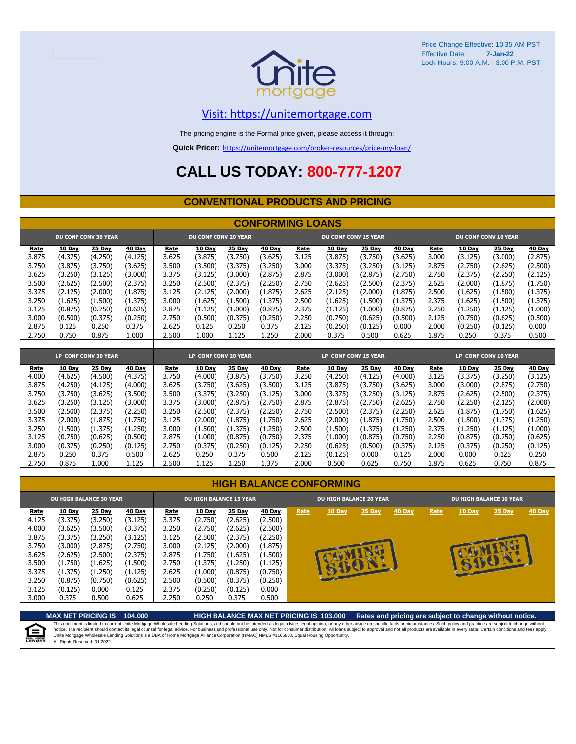

### [V](https://unitemortgage.com/)isit: https://unitemortgage.com

The pricing engine is the Formal price given, please access it through:

**Quick Pricer:** [https://un](https://unitemortgage.com/broker-resources/price-my-loan/)itemortgage.com/broker-resources/price-my-loan/

## **CALL US TODAY: 800-777-1207**

#### **CONVENTIONAL PRODUCTS AND PRICING**

|             | <b>CONFORMING LOANS</b> |                             |         |       |                             |         |         |       |                             |               |         |                             |               |                      |               |
|-------------|-------------------------|-----------------------------|---------|-------|-----------------------------|---------|---------|-------|-----------------------------|---------------|---------|-----------------------------|---------------|----------------------|---------------|
|             |                         | <b>DU CONF CONV 30 YEAR</b> |         |       | <b>DU CONF CONV 20 YEAR</b> |         |         |       | <b>DU CONF CONV 15 YEAR</b> |               |         | <b>DU CONF CONV 10 YEAR</b> |               |                      |               |
| <b>Rate</b> | <b>10 Day</b>           | 25 Day                      | 40 Day  | Rate  | 10 Day                      | 25 Day  | 40 Day  | Rate  | <b>10 Day</b>               | <b>25 Day</b> | 40 Day  | Rate                        | <b>10 Day</b> | 25 Day               | <b>40 Day</b> |
| 3.875       | (4.375)                 | (4.250)                     | (4.125) | 3.625 | (3.875)                     | (3.750) | (3.625) | 3.125 | (3.875)                     | (3.750)       | (3.625) | 3.000                       | (3.125)       | (3.000)              | (2.875)       |
| 3.750       | (3.875)                 | (3.750)                     | (3.625) | 3.500 | (3.500)                     | (3.375) | (3.250) | 3.000 | (3.375)                     | (3.250)       | (3.125) | 2.875                       | (2.750)       | (2.625)              | (2.500)       |
| 3.625       | (3.250)                 | (3.125)                     | (3.000) | 3.375 | (3.125)                     | (3.000) | (2.875) | 2.875 | (3.000)                     | (2.875)       | (2.750) | 2.750                       | (2.375)       | (2.250)              | (2.125)       |
| 3.500       | (2.625)                 | (2.500)                     | (2.375) | 3.250 | (2.500)                     | (2.375) | (2.250) | 2.750 | (2.625)                     | (2.500)       | (2.375) | 2.625                       | (2.000)       | (1.875)              | (1.750)       |
| 3.375       | (2.125)                 | (2.000)                     | (1.875) | 3.125 | (2.125)                     | (2.000) | (1.875) | 2.625 | (2.125)                     | (2.000)       | (1.875) | 2.500                       | (1.625)       | (1.500)              | (1.375)       |
| 3.250       | (1.625)                 | (1.500)                     | (1.375) | 3.000 | (1.625)                     | (1.500) | (1.375) | 2.500 | (1.625)                     | (1.500)       | (1.375) | 2.375                       | (1.625)       | (1.500)              | (1.375)       |
| 3.125       | (0.875)                 | (0.750)                     | (0.625) | 2.875 | (1.125)                     | (1.000) | (0.875) | 2.375 | (1.125)                     | (1.000)       | (0.875) | 2.250                       | (1.250)       | (1.125)              | (1.000)       |
| 3.000       | (0.500)                 | (0.375)                     | (0.250) | 2.750 | (0.500)                     | (0.375) | (0.250) | 2.250 | (0.750)                     | (0.625)       | (0.500) | 2.125                       | (0.750)       | (0.625)              | (0.500)       |
| 2.875       | 0.125                   | 0.250                       | 0.375   | 2.625 | 0.125                       | 0.250   | 0.375   | 2.125 | (0.250)                     | (0.125)       | 0.000   | 2.000                       | (0.250)       | (0.125)              | 0.000         |
| 2.750       | 0.750                   | 0.875                       | 1.000   | 2.500 | 1.000                       | 1.125   | 1.250   | 2.000 | 0.375                       | 0.500         | 0.625   | 1.875                       | 0.250         | 0.375                | 0.500         |
|             |                         |                             |         |       |                             |         |         |       |                             |               |         |                             |               |                      |               |
|             |                         | LP CONF CONV 30 YEAR        |         |       | LP CONF CONV 20 YEAR        |         |         |       | LP CONF CONV 15 YEAR        |               |         |                             |               | LP CONF CONV 10 YEAR |               |
| Rate        | 10 Day                  | 25 Dav                      | 40 Day  | Rate  | 10 Day                      | 25 Day  | 40 Day  | Rate  | 10 Dav                      | 25 Day        | 40 Day  | Rate                        | <b>10 Day</b> | 25 Day               | <b>40 Day</b> |
| 4.000       | (4.625)                 | (4.500)                     | (4.375) | 3.750 | (4.000)                     | (3.875) | (3.750) | 3.250 | (4.250)                     | (4.125)       | (4.000) | 3.125                       | (3.375)       | (3.250)              | (3.125)       |
| 3.875       | (4.250)                 | (4.125)                     | (4.000) | 3.625 | (3.750)                     | (3.625) | (3.500) | 3.125 | (3.875)                     | (3.750)       | (3.625) | 3.000                       | (3.000)       | (2.875)              | (2.750)       |
| 3.750       | (3.750)                 | (3.625)                     | (3.500) | 3.500 | (3.375)                     | (3.250) | (3.125) | 3.000 | (3.375)                     | (3.250)       | (3.125) | 2.875                       | (2.625)       | (2.500)              | (2.375)       |
| 3.625       | (3.250)                 | (3.125)                     | (3.000) | 3.375 | (3.000)                     | (2.875) | (2.750) | 2.875 | (2.875)                     | (2.750)       | (2.625) | 2.750                       | (2.250)       | (2.125)              | (2.000)       |
| 3.500       | (2.500)                 | (2.375)                     | (2.250) | 3.250 | (2.500)                     | (2.375) | (2.250) | 2.750 | (2.500)                     | (2.375)       | (2.250) | 2.625                       | (1.875)       | (1.750)              | (1.625)       |
| 3.375       | (2.000)                 | (1.875)                     | (1.750) | 3.125 | (2.000)                     | (1.875) | (1.750) | 2.625 | (2.000)                     | (1.875)       | (1.750) | 2.500                       | (1.500)       | (1.375)              | (1.250)       |
| 3.250       | (1.500)                 | (1.375)                     | (1.250) | 3.000 | (1.500)                     | (1.375) | (1.250) | 2.500 | (1.500)                     | (1.375)       | (1.250) | 2.375                       | (1.250)       | (1.125)              | (1.000)       |
| 3.125       | (0.750)                 | (0.625)                     | (0.500) | 2.875 | (1.000)                     | (0.875) | (0.750) | 2.375 | (1.000)                     | (0.875)       | (0.750) | 2.250                       | (0.875)       | (0.750)              | (0.625)       |
| 3.000       | (0.375)                 | (0.250)                     | (0.125) | 2.750 | (0.375)                     | (0.250) | (0.125) | 2.250 | (0.625)                     | (0.500)       | (0.375) | 2.125                       | (0.375)       | (0.250)              | (0.125)       |
| 2.875       | 0.250                   | 0.375                       | 0.500   | 2.625 | 0.250                       | 0.375   | 0.500   | 2.125 | (0.125)                     | 0.000         | 0.125   | 2.000                       | 0.000         | 0.125                | 0.250         |
| 2.750       | 0.875                   | 1.000                       | 1.125   | 2.500 | 1.125                       | 1.250   | 1.375   | 2.000 | 0.500                       | 0.625         | 0.750   | 1.875                       | 0.625         | 0.750                | 0.875         |

|       | <b>DU HIGH BALANCE 30 YEAR</b> |               |               | <b>DU HIGH BALANCE 15 YEAR</b> |               |               |               |      | <b>DU HIGH BALANCE 20 YEAR</b> |        |               | <b>DU HIGH BALANCE 10 YEAR</b> |               |          |               |  |
|-------|--------------------------------|---------------|---------------|--------------------------------|---------------|---------------|---------------|------|--------------------------------|--------|---------------|--------------------------------|---------------|----------|---------------|--|
| Rate  | <b>10 Day</b>                  | <b>25 Day</b> | <b>40 Day</b> | Rate                           | <b>10 Day</b> | <b>25 Day</b> | <b>40 Day</b> | Rate | <b>10 Day</b>                  | 25 Day | <b>40 Day</b> | Rate                           | <b>10 Day</b> | $25$ Day | <b>40 Day</b> |  |
| 4.125 | (3.375)                        | (3.250)       | (3.125)       | 3.375                          | (2.750)       | (2.625)       | (2.500)       |      |                                |        |               |                                |               |          |               |  |
| 4.000 | (3.625)                        | (3.500)       | (3.375)       | 3.250                          | (2.750)       | (2.625)       | (2.500)       |      |                                |        |               |                                |               |          |               |  |
| 3.875 | (3.375)                        | (3.250)       | (3.125)       | 3.125                          | (2.500)       | (2.375)       | (2.250)       |      |                                |        |               |                                |               |          |               |  |
| 3.750 | (3.000)                        | (2.875)       | (2.750)       | 3.000                          | (2.125)       | (2.000)       | (1.875)       |      |                                |        |               |                                |               |          |               |  |
| 3.625 | (2.625)                        | (2.500)       | (2.375)       | 2.875                          | (1.750)       | (1.625)       | (1.500)       |      |                                | æ      |               |                                |               |          |               |  |
| 3.500 | (1.750)                        | (1.625)       | (1.500)       | 2.750                          | (1.375)       | (1.250)       | (1.125)       |      |                                |        |               |                                |               |          |               |  |
| 3.375 | (1.375)                        | (1.250)       | (1.125)       | 2.625                          | (1.000)       | (0.875)       | (0.750)       |      |                                |        |               |                                |               |          |               |  |
| 3.250 | (0.875)                        | (0.750)       | (0.625)       | 2.500                          | (0.500)       | (0.375)       | (0.250)       |      |                                |        |               |                                |               |          |               |  |
| 3.125 | (0.125)                        | 0.000         | 0.125         | 2.375                          | (0.250)       | (0.125)       | 0.000         |      |                                |        |               |                                |               |          |               |  |
| 3.000 | 0.375                          | 0.500         | 0.625         | 2.250                          | 0.250         | 0.375         | 0.500         |      |                                |        |               |                                |               |          |               |  |



**MAX NET PRICING IS 104.000 HIGH BALANCE MAX NET PRICING IS 103.000 Rates and pricing are subject to change without notice.**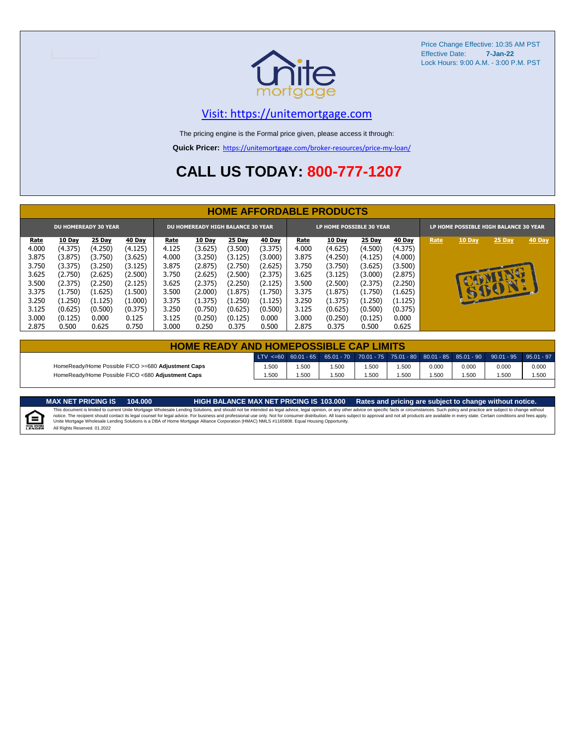

### [V](https://unitemortgage.com/)isit: https://unitemortgage.com

The pricing engine is the Formal price given, please access it through:

**Quick Pricer:** [https://un](https://unitemortgage.com/broker-resources/price-my-loan/)itemortgage.com/broker-resources/price-my-loan/

## **CALL US TODAY: 800-777-1207**

|             | <b>HOME AFFORDABLE PRODUCTS</b> |                             |               |       |                                          |               |               |                          |               |               |               |                                       |              |        |        |
|-------------|---------------------------------|-----------------------------|---------------|-------|------------------------------------------|---------------|---------------|--------------------------|---------------|---------------|---------------|---------------------------------------|--------------|--------|--------|
|             |                                 | <b>DU HOMEREADY 30 YEAR</b> |               |       | <b>DU HOMEREADY HIGH BALANCE 30 YEAR</b> |               |               | LP HOME POSSIBLE 30 YEAR |               |               |               | LP HOME POSSIBLE HIGH BALANCE 30 YEAR |              |        |        |
| <u>Rate</u> | <b>10 Day</b>                   | <b>25 Day</b>               | <b>40 Day</b> | Rate  | <b>10 Day</b>                            | <b>25 Day</b> | <b>40 Day</b> | Rate                     | <b>10 Day</b> | <b>25 Day</b> | <b>40 Day</b> | Rate                                  | 10 Day       | 25 Day | 40 Day |
| 4.000       | (4.375)                         | (4.250)                     | (4.125)       | 4.125 | (3.625)                                  | (3.500)       | (3.375)       | 4.000                    | (4.625)       | (4.500)       | (4.375)       |                                       |              |        |        |
| 3.875       | (3.875)                         | (3.750)                     | (3.625)       | 4.000 | (3.250)                                  | (3.125)       | (3.000)       | 3.875                    | (4.250)       | (4.125)       | (4.000)       |                                       |              |        |        |
| 3.750       | (3.375)                         | (3.250)                     | (3.125)       | 3.875 | (2.875)                                  | (2.750)       | (2.625)       | 3.750                    | (3.750)       | (3.625)       | (3.500)       |                                       |              |        |        |
| 3.625       | (2.750)                         | (2.625)                     | (2.500)       | 3.750 | (2.625)                                  | (2.500)       | (2.375)       | 3.625                    | (3.125)       | (3.000)       | (2.875)       |                                       |              |        |        |
| 3.500       | (2.375)                         | (2.250)                     | (2.125)       | 3.625 | (2.375)                                  | (2.250)       | (2.125)       | 3.500                    | (2.500)       | (2.375)       | (2.250)       |                                       |              | CD.    |        |
| 3.375       | (1.750)                         | (1.625)                     | (1.500)       | 3.500 | (2.000)                                  | (1.875)       | (1.750)       | 3.375                    | (1.875)       | (1.750)       | (1.625)       |                                       | $\mathbf{r}$ | BOY    |        |
| 3.250       | (1.250)                         | (1.125)                     | (1.000)       | 3.375 | (1.375)                                  | (1.250)       | (1.125)       | 3.250                    | (1.375)       | (1.250)       | (1.125)       |                                       |              |        |        |
| 3.125       | (0.625)                         | (0.500)                     | (0.375)       | 3.250 | (0.750)                                  | (0.625)       | (0.500)       | 3.125                    | (0.625)       | (0.500)       | (0.375)       |                                       |              |        |        |
| 3.000       | (0.125)                         | 0.000                       | 0.125         | 3.125 | (0.250)                                  | (0.125)       | 0.000         | 3.000                    | (0.250)       | (0.125)       | 0.000         |                                       |              |        |        |
| 2.875       | 0.500                           | 0.625                       | 0.750         | 3.000 | 0.250                                    | 0.375         | 0.500         | 2.875                    | 0.375         | 0.500         | 0.625         |                                       |              |        |        |

| <b>HOME READY AND HOMEPOSSIBLE CAP LIMITS</b>      |      |      |      |       |       |       |       |                                                                                                                                                                        |       |  |  |  |
|----------------------------------------------------|------|------|------|-------|-------|-------|-------|------------------------------------------------------------------------------------------------------------------------------------------------------------------------|-------|--|--|--|
|                                                    |      |      |      |       |       |       |       | $\mid$ LTV <=60 $\mid$ 60.01 - 65 $\mid$ 65.01 - 70 $\mid$ 70.01 - 75 $\mid$ 75.01 - 80 $\mid$ 80.01 - 85 $\mid$ 85.01 - 90 $\mid$ 90.01 - 95 $\mid$ 95.01 - 97 $\mid$ |       |  |  |  |
| HomeReady/Home Possible FICO >=680 Adjustment Caps | .500 | .500 | .500 | .500  | 1.500 | 0.000 | 0.000 | 0.000                                                                                                                                                                  | 0.000 |  |  |  |
| HomeReady/Home Possible FICO <680 Adjustment Caps  | .500 | .500 | .500 | 500،، | i.500 | .500  | .500  | .500                                                                                                                                                                   | 1.500 |  |  |  |

MAX NET PRICING IS 103.000 Rates and pricing are subject to change without notice.<br>This document is limited to current Unite Mortgage Wholesale Lending Solutions, and should not be intended as legal advice, legal opinion,



All Rights Reserved. 01.2022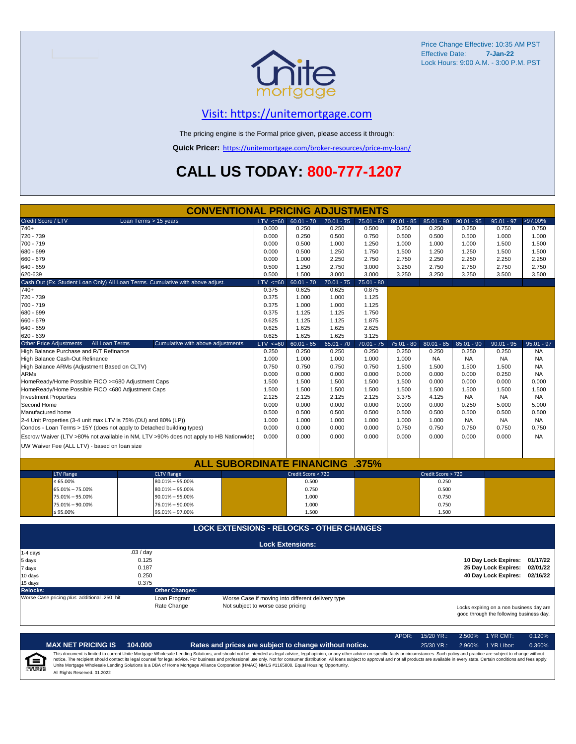

### [V](https://unitemortgage.com/)isit: https://unitemortgage.com

The pricing engine is the Formal price given, please access it through:

**Quick Pricer:** [https://un](https://unitemortgage.com/broker-resources/price-my-loan/)itemortgage.com/broker-resources/price-my-loan/

## **CALL US TODAY: 800-777-1207**

|                                                                                        | <b>CONVENTIONAL PRICING ADJUSTMENTS</b>          |              |                                                   |              |              |              |                    |              |                                                                                      |              |
|----------------------------------------------------------------------------------------|--------------------------------------------------|--------------|---------------------------------------------------|--------------|--------------|--------------|--------------------|--------------|--------------------------------------------------------------------------------------|--------------|
| Credit Score / LTV                                                                     | Loan Terms > 15 years                            | $LTV \le 60$ | $60.01 - 70$                                      | $70.01 - 75$ | $75.01 - 80$ | $80.01 - 85$ | $85.01 - 90$       | $90.01 - 95$ | $95.01 - 97$                                                                         | >97.00%      |
| $740+$                                                                                 |                                                  | 0.000        | 0.250                                             | 0.250        | 0.500        | 0.250        | 0.250              | 0.250        | 0.750                                                                                | 0.750        |
| 720 - 739                                                                              |                                                  | 0.000        | 0.250                                             | 0.500        | 0.750        | 0.500        | 0.500              | 0.500        | 1.000                                                                                | 1.000        |
| 700 - 719                                                                              |                                                  | 0.000        | 0.500                                             | 1.000        | 1.250        | 1.000        | 1.000              | 1.000        | 1.500                                                                                | 1.500        |
| 680 - 699                                                                              |                                                  | 0.000        | 0.500                                             | 1.250        | 1.750        | 1.500        | 1.250              | 1.250        | 1.500                                                                                | 1.500        |
| 660 - 679                                                                              |                                                  | 0.000        | 1.000                                             | 2.250        | 2.750        | 2.750        | 2.250              | 2.250        | 2.250                                                                                | 2.250        |
| $640 - 659$                                                                            |                                                  | 0.500        | 1.250                                             | 2.750        | 3.000        | 3.250        | 2.750              | 2.750        | 2.750                                                                                | 2.750        |
| 620-639                                                                                |                                                  | 0.500        | 1.500                                             | 3.000        | 3.000        | 3.250        | 3.250              | 3.250        | 3.500                                                                                | 3.500        |
| Cash Out (Ex. Student Loan Only) All Loan Terms. Cumulative with above adjust.         |                                                  | $LTV \le 60$ | $60.01 - 70$                                      | $70.01 - 75$ | $75.01 - 80$ |              |                    |              |                                                                                      |              |
| $740+$                                                                                 |                                                  | 0.375        | 0.625                                             | 0.625        | 0.875        |              |                    |              |                                                                                      |              |
| 720 - 739                                                                              |                                                  | 0.375        | 1.000                                             | 1.000        | 1.125        |              |                    |              |                                                                                      |              |
| 700 - 719                                                                              |                                                  | 0.375        | 1.000                                             | 1.000        | 1.125        |              |                    |              |                                                                                      |              |
| 680 - 699                                                                              |                                                  | 0.375        | 1.125                                             | 1.125        | 1.750        |              |                    |              |                                                                                      |              |
| 660 - 679                                                                              |                                                  | 0.625        | 1.125                                             | 1.125        | 1.875        |              |                    |              |                                                                                      |              |
| 640 - 659                                                                              |                                                  | 0.625        | 1.625                                             | 1.625        | 2.625        |              |                    |              |                                                                                      |              |
| 620 - 639                                                                              |                                                  | 0.625        | 1.625                                             | 1.625        | 3.125        |              |                    |              |                                                                                      |              |
| <b>Other Price Adjustments</b><br>All Loan Terms                                       | Cumulative with above adjustments                | $LTV \le 60$ | $60.01 - 65$                                      | $65.01 - 70$ | $70.01 - 75$ | $75.01 - 80$ | $80.01 - 85$       | $85.01 - 90$ | $90.01 - 95$                                                                         | $95.01 - 97$ |
| High Balance Purchase and R/T Refinance                                                |                                                  | 0.250        | 0.250                                             | 0.250        | 0.250        | 0.250        | 0.250              | 0.250        | 0.250                                                                                | <b>NA</b>    |
| High Balance Cash-Out Refinance                                                        |                                                  | 1.000        | 1.000                                             | 1.000        | 1.000        | 1.000        | <b>NA</b>          | <b>NA</b>    | <b>NA</b>                                                                            | <b>NA</b>    |
| High Balance ARMs (Adjustment Based on CLTV)                                           |                                                  | 0.750        | 0.750                                             | 0.750        | 0.750        | 1.500        | 1.500              | 1.500        | 1.500                                                                                | <b>NA</b>    |
| <b>ARMs</b>                                                                            |                                                  | 0.000        | 0.000                                             | 0.000        | 0.000        | 0.000        | 0.000              | 0.000        | 0.250                                                                                | <b>NA</b>    |
| HomeReady/Home Possible FICO >=680 Adjustment Caps                                     |                                                  | 1.500        | 1.500                                             | 1.500        | 1.500        | 1.500        | 0.000              | 0.000        | 0.000                                                                                | 0.000        |
| HomeReady/Home Possible FICO <680 Adjustment Caps                                      |                                                  | 1.500        | 1.500                                             | 1.500        | 1.500        | 1.500        | 1.500              | 1.500        | 1.500                                                                                | 1.500        |
| <b>Investment Properties</b>                                                           |                                                  | 2.125        | 2.125                                             | 2.125        | 2.125        | 3.375        | 4.125              | <b>NA</b>    | <b>NA</b>                                                                            | NA.          |
| Second Home                                                                            |                                                  | 0.000        | 0.000                                             | 0.000        | 0.000        | 0.000        | 0.000              | 0.250        | 5.000                                                                                | 5.000        |
| Manufactured home                                                                      |                                                  | 0.500        | 0.500                                             | 0.500        | 0.500        | 0.500        | 0.500              | 0.500        | 0.500                                                                                | 0.500        |
| 2-4 Unit Properties (3-4 unit max LTV is 75% (DU) and 80% (LP))                        |                                                  | 1.000        | 1.000                                             | 1.000        | 1.000        | 1.000        | 1.000              | <b>NA</b>    | <b>NA</b>                                                                            | <b>NA</b>    |
| Condos - Loan Terms > 15Y (does not apply to Detached building types)                  |                                                  | 0.000        | 0.000                                             | 0.000        | 0.000        | 0.750        | 0.750              | 0.750        | 0.750                                                                                | 0.750        |
| Escrow Waiver (LTV >80% not available in NM, LTV >90% does not apply to HB Nationwide) |                                                  | 0.000        | 0.000                                             | 0.000        | 0.000        | 0.000        | 0.000              | 0.000        | 0.000                                                                                | <b>NA</b>    |
| UW Waiver Fee (ALL LTV) - based on loan size                                           |                                                  |              |                                                   |              |              |              |                    |              |                                                                                      |              |
|                                                                                        |                                                  |              |                                                   |              |              |              |                    |              |                                                                                      |              |
|                                                                                        | <b>ALL SUBORDINATE FINANCING .375%</b>           |              |                                                   |              |              |              |                    |              |                                                                                      |              |
| <b>LTV Range</b>                                                                       | <b>CLTV Range</b>                                |              | Credit Score < 720                                |              |              |              | Credit Score > 720 |              |                                                                                      |              |
| $\leq 65.00\%$                                                                         | $80.01\% - 95.00\%$                              |              | 0.500                                             |              |              |              | 0.250              |              |                                                                                      |              |
| 65.01% - 75.00%                                                                        | $80.01\% - 95.00\%$                              |              | 0.750                                             |              |              |              | 0.500              |              |                                                                                      |              |
| 75.01% - 95.00%                                                                        | $90.01\% - 95.00\%$                              |              | 1.000                                             |              |              |              | 0.750              |              |                                                                                      |              |
| 75.01% - 90.00%                                                                        | 76.01% - 90.00%                                  |              | 1.000                                             |              |              |              | 0.750              |              |                                                                                      |              |
| $≤ 95.00\%$                                                                            | 95.01% - 97.00%                                  |              | 1.500                                             |              |              |              | 1.500              |              |                                                                                      |              |
|                                                                                        | <b>LOCK EXTENSIONS - RELOCKS - OTHER CHANGES</b> |              |                                                   |              |              |              |                    |              |                                                                                      |              |
|                                                                                        |                                                  |              |                                                   |              |              |              |                    |              |                                                                                      |              |
| 1-4 days                                                                               | .03 / day                                        |              | <b>Lock Extensions:</b>                           |              |              |              |                    |              |                                                                                      |              |
|                                                                                        | 0.125                                            |              |                                                   |              |              |              |                    |              | 10 Day Lock Expires:                                                                 | 01/17/22     |
| 5 days<br>7 days                                                                       | 0.187                                            |              |                                                   |              |              |              |                    |              | 25 Day Lock Expires:                                                                 | 02/01/22     |
|                                                                                        | 0.250                                            |              |                                                   |              |              |              |                    |              | 40 Day Lock Expires:                                                                 | 02/16/22     |
| 10 days<br>15 days                                                                     | 0.375                                            |              |                                                   |              |              |              |                    |              |                                                                                      |              |
| <b>Relocks:</b>                                                                        | <b>Other Changes:</b>                            |              |                                                   |              |              |              |                    |              |                                                                                      |              |
| Worse Case pricing plus additional .250 hit                                            | Loan Program                                     |              | Worse Case if moving into different delivery type |              |              |              |                    |              |                                                                                      |              |
|                                                                                        | Rate Change<br>Not subject to worse case pricing |              |                                                   |              |              |              |                    |              |                                                                                      |              |
|                                                                                        |                                                  |              |                                                   |              |              |              |                    |              | Locks expiring on a non business day are<br>good through the following business day. |              |

|                                    |                              |         |                                                                                                                                                                                                                                                                                                                                                                                                                                                                                                                                                                                                                | APOR: | $15/20$ YR.: | 2.500% 1 YR CMT:   | 0.120% |
|------------------------------------|------------------------------|---------|----------------------------------------------------------------------------------------------------------------------------------------------------------------------------------------------------------------------------------------------------------------------------------------------------------------------------------------------------------------------------------------------------------------------------------------------------------------------------------------------------------------------------------------------------------------------------------------------------------------|-------|--------------|--------------------|--------|
|                                    | <b>MAX NET PRICING IS</b>    | 104.000 | Rates and prices are subject to change without notice.                                                                                                                                                                                                                                                                                                                                                                                                                                                                                                                                                         |       | $25/30$ YR.: | 2.960% 1 YR Libor: | 0.360% |
| $I \equiv$<br><b>EQUAL HOUSING</b> | All Rights Reserved, 01.2022 |         | This document is limited to current Unite Mortgage Wholesale Lending Solutions, and should not be intended as legal advice, legal opinion, or any other advice on specific facts or circumstances. Such policy and practice ar<br>notice. The recipient should contact its legal counsel for legal advice. For business and professional use only. Not for consumer distribution. All loans subject to approval and not all products are available in every stat<br>Unite Mortgage Wholesale Lending Solutions is a DBA of Home Mortgage Alliance Corporation (HMAC) NMLS #1165808. Equal Housing Opportunity. |       |              |                    |        |